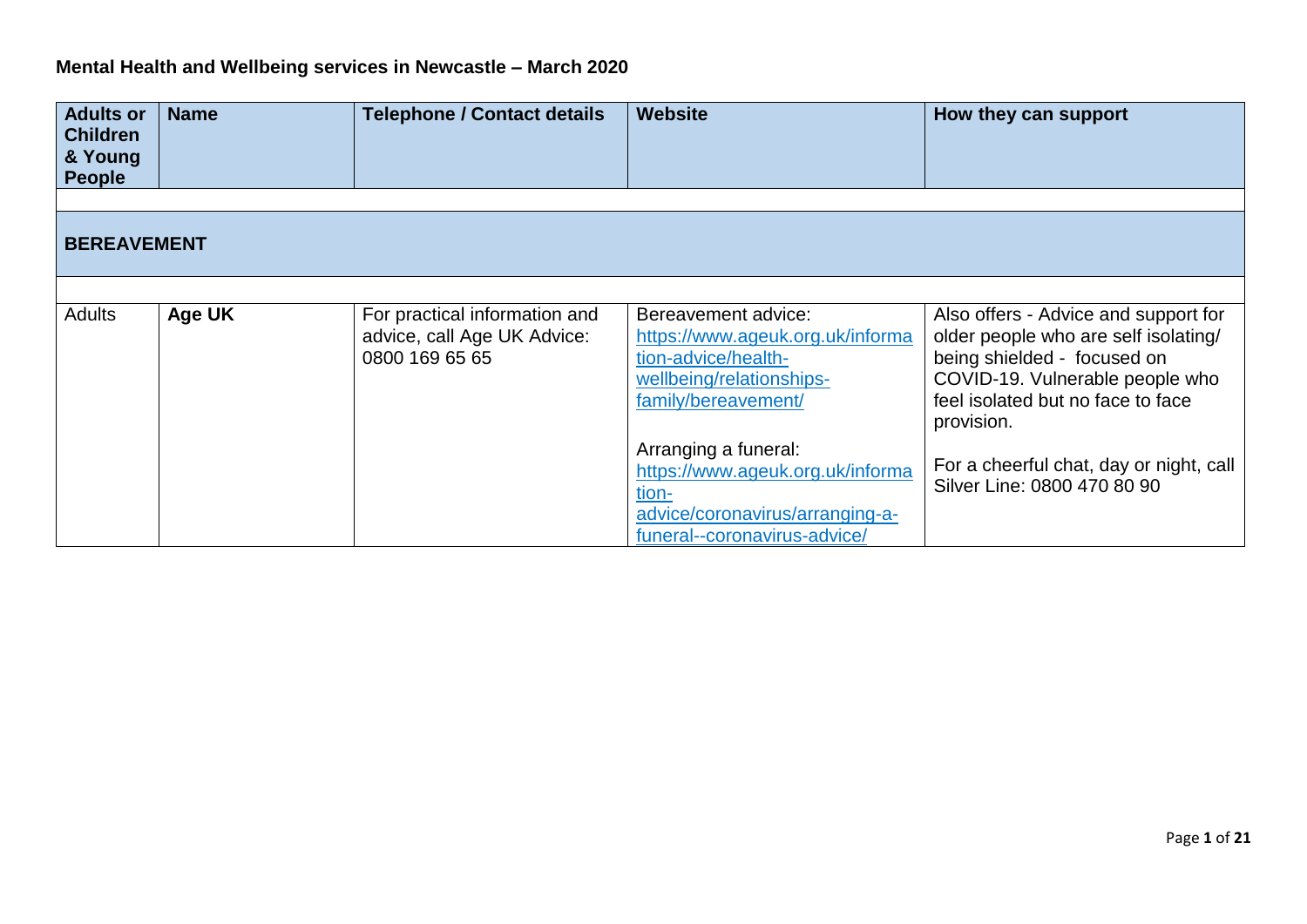## **Mental Health and Wellbeing services in Newcastle – March 2020**

| <b>Adults or</b><br><b>Children</b><br>& Young<br><b>People</b> | <b>Name</b>   | <b>Telephone / Contact details</b>                                             | <b>Website</b>                                                                                                                       | How they can support                                                                                                                                                                              |
|-----------------------------------------------------------------|---------------|--------------------------------------------------------------------------------|--------------------------------------------------------------------------------------------------------------------------------------|---------------------------------------------------------------------------------------------------------------------------------------------------------------------------------------------------|
| <b>BEREAVEMENT</b>                                              |               |                                                                                |                                                                                                                                      |                                                                                                                                                                                                   |
|                                                                 |               |                                                                                |                                                                                                                                      |                                                                                                                                                                                                   |
| <b>Adults</b>                                                   | <b>Age UK</b> | For practical information and<br>advice, call Age UK Advice:<br>0800 169 65 65 | Bereavement advice:<br>https://www.ageuk.org.uk/informa<br>tion-advice/health-<br>wellbeing/relationships-<br>family/bereavement/    | Also offers - Advice and support for<br>older people who are self isolating/<br>being shielded - focused on<br>COVID-19. Vulnerable people who<br>feel isolated but no face to face<br>provision. |
|                                                                 |               |                                                                                | Arranging a funeral:<br>https://www.ageuk.org.uk/informa<br>tion-<br>advice/coronavirus/arranging-a-<br>funeral--coronavirus-advice/ | For a cheerful chat, day or night, call<br>Silver Line: 0800 470 80 90                                                                                                                            |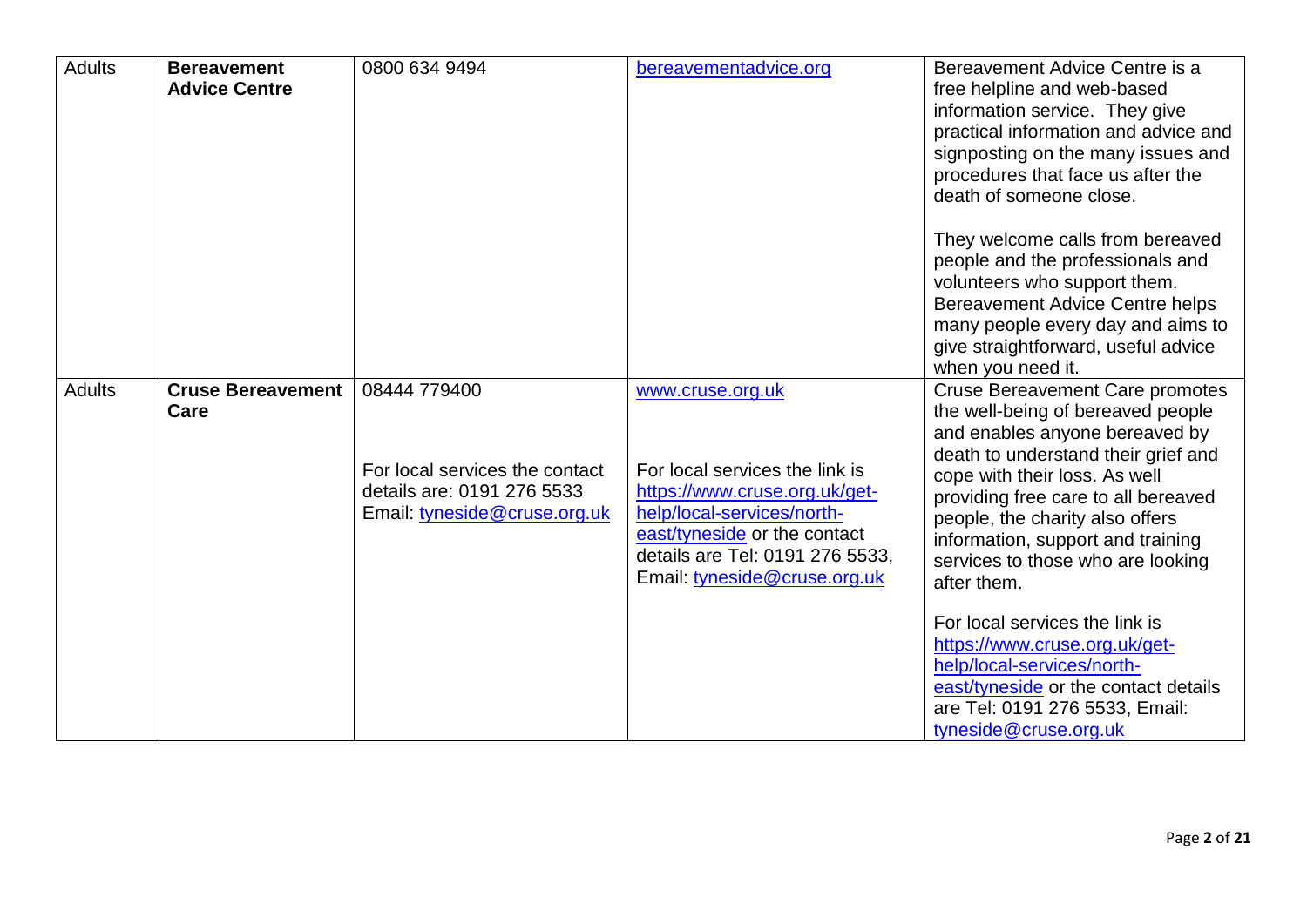| <b>Adults</b> | <b>Bereavement</b><br><b>Advice Centre</b> | 0800 634 9494                                                                                                | bereavementadvice.org                                                                                                                                                                                                | Bereavement Advice Centre is a<br>free helpline and web-based<br>information service. They give<br>practical information and advice and<br>signposting on the many issues and<br>procedures that face us after the<br>death of someone close.                                                                                                                                              |
|---------------|--------------------------------------------|--------------------------------------------------------------------------------------------------------------|----------------------------------------------------------------------------------------------------------------------------------------------------------------------------------------------------------------------|--------------------------------------------------------------------------------------------------------------------------------------------------------------------------------------------------------------------------------------------------------------------------------------------------------------------------------------------------------------------------------------------|
|               |                                            |                                                                                                              |                                                                                                                                                                                                                      | They welcome calls from bereaved<br>people and the professionals and<br>volunteers who support them.<br><b>Bereavement Advice Centre helps</b><br>many people every day and aims to<br>give straightforward, useful advice<br>when you need it.                                                                                                                                            |
| <b>Adults</b> | <b>Cruse Bereavement</b><br>Care           | 08444 779400<br>For local services the contact<br>details are: 0191 276 5533<br>Email: tyneside@cruse.org.uk | www.cruse.org.uk<br>For local services the link is<br>https://www.cruse.org.uk/get-<br>help/local-services/north-<br>east/tyneside or the contact<br>details are Tel: 0191 276 5533,<br>Email: tyneside@cruse.org.uk | <b>Cruse Bereavement Care promotes</b><br>the well-being of bereaved people<br>and enables anyone bereaved by<br>death to understand their grief and<br>cope with their loss. As well<br>providing free care to all bereaved<br>people, the charity also offers<br>information, support and training<br>services to those who are looking<br>after them.<br>For local services the link is |
|               |                                            |                                                                                                              |                                                                                                                                                                                                                      | https://www.cruse.org.uk/get-<br>help/local-services/north-<br>east/tyneside or the contact details<br>are Tel: 0191 276 5533, Email:<br>tyneside@cruse.org.uk                                                                                                                                                                                                                             |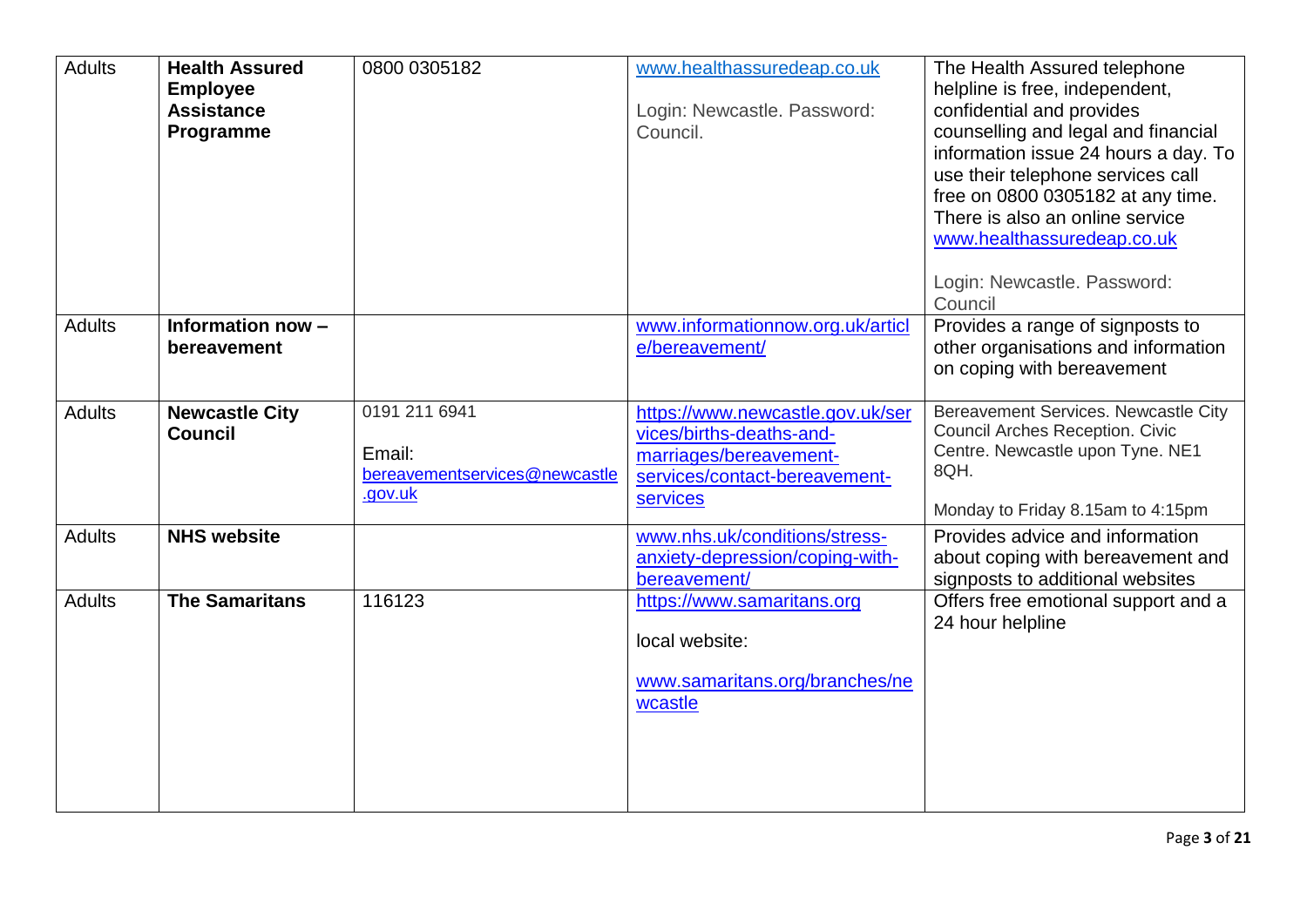| <b>Adults</b> | <b>Health Assured</b><br><b>Employee</b><br><b>Assistance</b><br>Programme | 0800 0305182                                                        | www.healthassuredeap.co.uk<br>Login: Newcastle. Password:<br>Council.                                                               | The Health Assured telephone<br>helpline is free, independent,<br>confidential and provides<br>counselling and legal and financial<br>information issue 24 hours a day. To<br>use their telephone services call<br>free on 0800 0305182 at any time.<br>There is also an online service<br>www.healthassuredeap.co.uk<br>Login: Newcastle. Password:<br>Council |
|---------------|----------------------------------------------------------------------------|---------------------------------------------------------------------|-------------------------------------------------------------------------------------------------------------------------------------|-----------------------------------------------------------------------------------------------------------------------------------------------------------------------------------------------------------------------------------------------------------------------------------------------------------------------------------------------------------------|
| <b>Adults</b> | Information now -<br>bereavement                                           |                                                                     | www.informationnow.org.uk/articl<br>e/bereavement/                                                                                  | Provides a range of signposts to<br>other organisations and information<br>on coping with bereavement                                                                                                                                                                                                                                                           |
| <b>Adults</b> | <b>Newcastle City</b><br><b>Council</b>                                    | 0191 211 6941<br>Email:<br>bereavementservices@newcastle<br>.gov.uk | https://www.newcastle.gov.uk/ser<br>vices/births-deaths-and-<br>marriages/bereavement-<br>services/contact-bereavement-<br>services | Bereavement Services. Newcastle City<br><b>Council Arches Reception. Civic</b><br>Centre. Newcastle upon Tyne. NE1<br>8QH.<br>Monday to Friday 8.15am to 4:15pm                                                                                                                                                                                                 |
| <b>Adults</b> | <b>NHS website</b>                                                         |                                                                     | www.nhs.uk/conditions/stress-<br>anxiety-depression/coping-with-<br>bereavement/                                                    | Provides advice and information<br>about coping with bereavement and<br>signposts to additional websites                                                                                                                                                                                                                                                        |
| <b>Adults</b> | <b>The Samaritans</b>                                                      | 116123                                                              | https://www.samaritans.org<br>local website:<br>www.samaritans.org/branches/ne<br>wcastle                                           | Offers free emotional support and a<br>24 hour helpline                                                                                                                                                                                                                                                                                                         |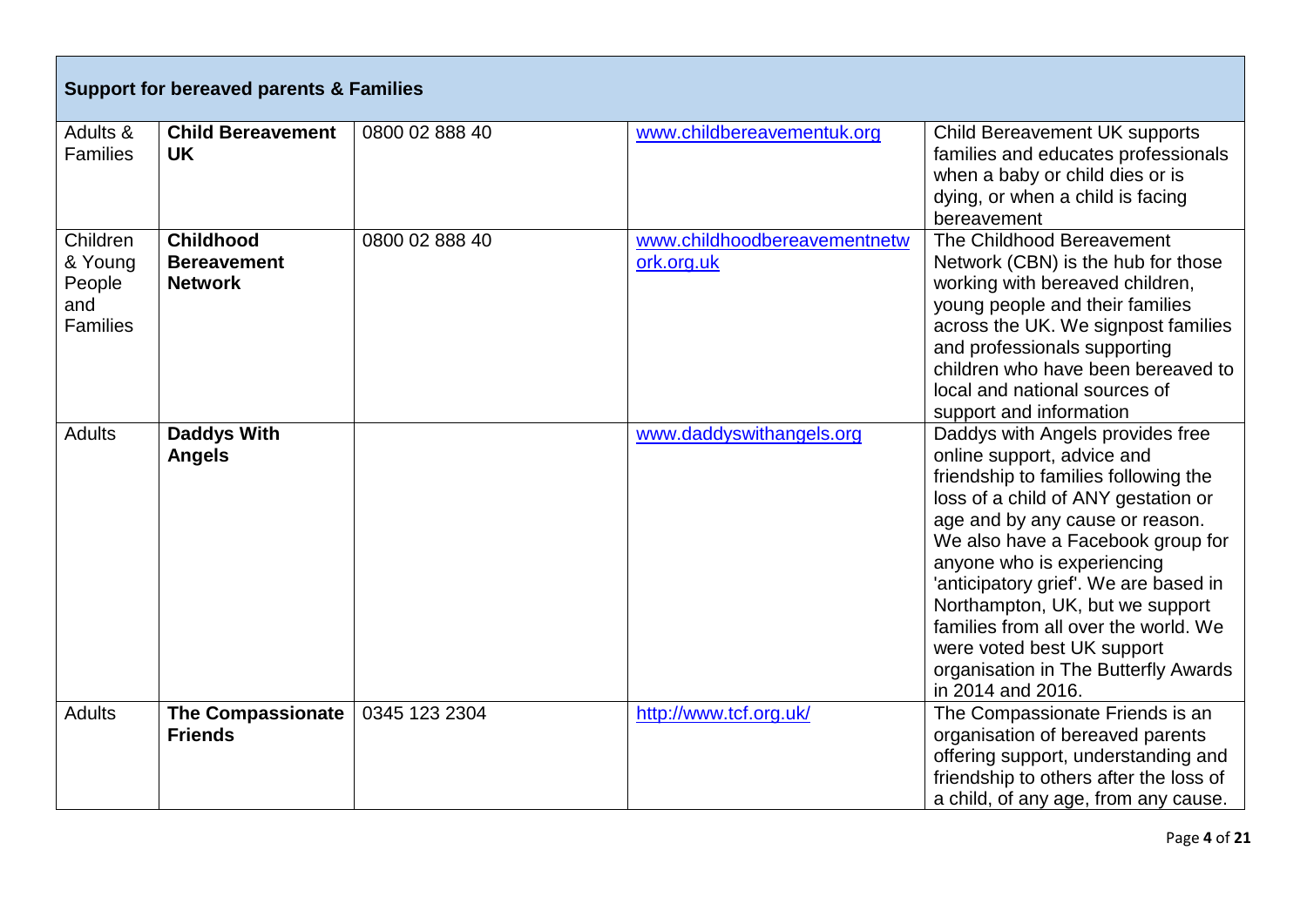| <b>Support for bereaved parents &amp; Families</b>      |                                                          |                |                                            |                                                                                                                                                                                                                                                                                                                                                                                                                                                                    |
|---------------------------------------------------------|----------------------------------------------------------|----------------|--------------------------------------------|--------------------------------------------------------------------------------------------------------------------------------------------------------------------------------------------------------------------------------------------------------------------------------------------------------------------------------------------------------------------------------------------------------------------------------------------------------------------|
| Adults &<br><b>Families</b>                             | <b>Child Bereavement</b><br><b>UK</b>                    | 0800 02 888 40 | www.childbereavementuk.org                 | <b>Child Bereavement UK supports</b><br>families and educates professionals<br>when a baby or child dies or is<br>dying, or when a child is facing<br>bereavement                                                                                                                                                                                                                                                                                                  |
| Children<br>& Young<br>People<br>and<br><b>Families</b> | <b>Childhood</b><br><b>Bereavement</b><br><b>Network</b> | 0800 02 888 40 | www.childhoodbereavementnetw<br>ork.org.uk | The Childhood Bereavement<br>Network (CBN) is the hub for those<br>working with bereaved children,<br>young people and their families<br>across the UK. We signpost families<br>and professionals supporting<br>children who have been bereaved to<br>local and national sources of<br>support and information                                                                                                                                                     |
| <b>Adults</b>                                           | <b>Daddys With</b><br><b>Angels</b>                      |                | www.daddyswithangels.org                   | Daddys with Angels provides free<br>online support, advice and<br>friendship to families following the<br>loss of a child of ANY gestation or<br>age and by any cause or reason.<br>We also have a Facebook group for<br>anyone who is experiencing<br>'anticipatory grief'. We are based in<br>Northampton, UK, but we support<br>families from all over the world. We<br>were voted best UK support<br>organisation in The Butterfly Awards<br>in 2014 and 2016. |
| <b>Adults</b>                                           | <b>The Compassionate</b><br><b>Friends</b>               | 0345 123 2304  | http://www.tcf.org.uk/                     | The Compassionate Friends is an<br>organisation of bereaved parents<br>offering support, understanding and<br>friendship to others after the loss of<br>a child, of any age, from any cause.                                                                                                                                                                                                                                                                       |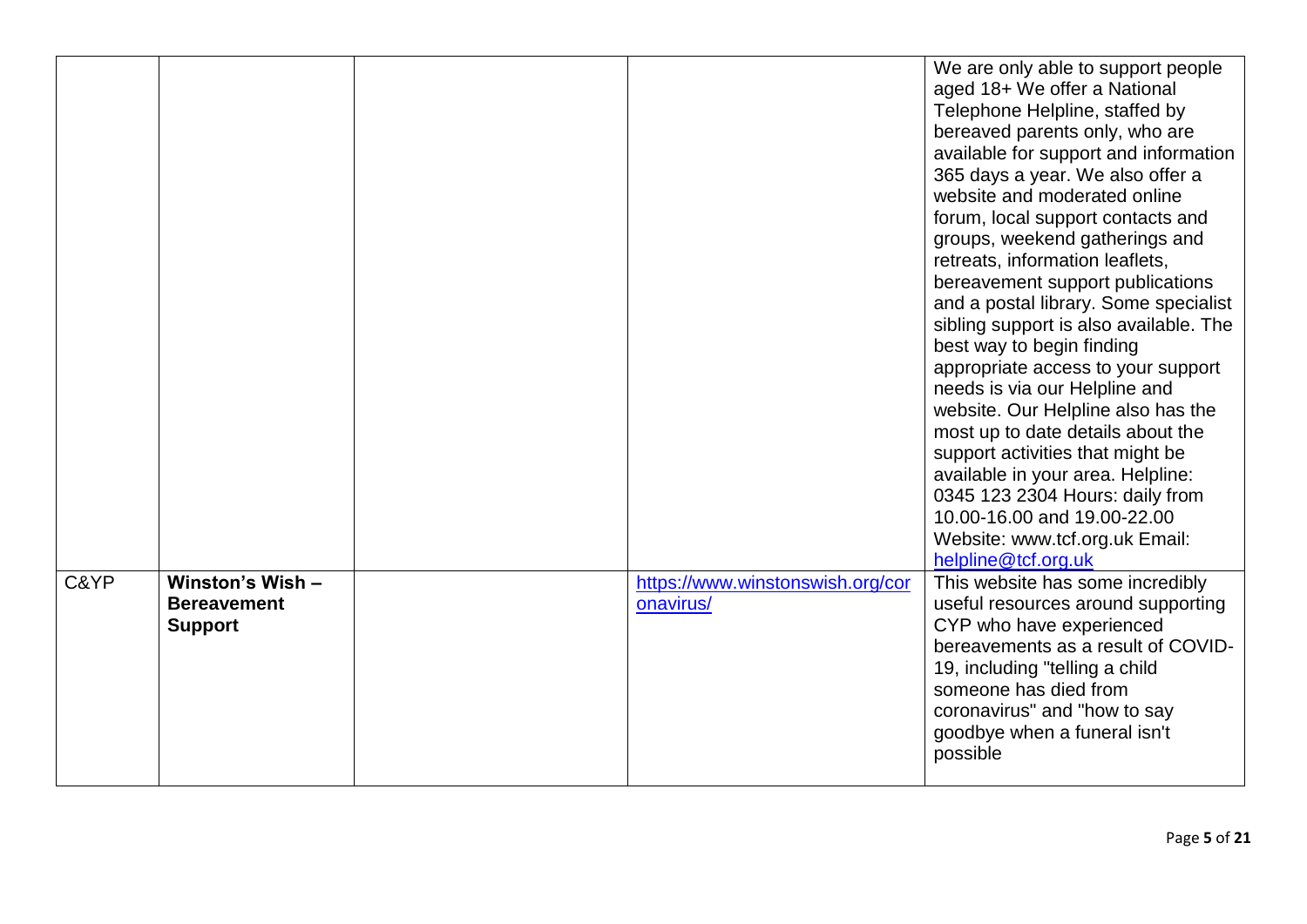|      |                                                          |                                               | We are only able to support people<br>aged 18+ We offer a National<br>Telephone Helpline, staffed by<br>bereaved parents only, who are<br>available for support and information<br>365 days a year. We also offer a<br>website and moderated online<br>forum, local support contacts and<br>groups, weekend gatherings and<br>retreats, information leaflets,<br>bereavement support publications<br>and a postal library. Some specialist<br>sibling support is also available. The<br>best way to begin finding<br>appropriate access to your support<br>needs is via our Helpline and<br>website. Our Helpline also has the<br>most up to date details about the<br>support activities that might be<br>available in your area. Helpline:<br>0345 123 2304 Hours: daily from<br>10.00-16.00 and 19.00-22.00<br>Website: www.tcf.org.uk Email:<br>helpline@tcf.org.uk |
|------|----------------------------------------------------------|-----------------------------------------------|-------------------------------------------------------------------------------------------------------------------------------------------------------------------------------------------------------------------------------------------------------------------------------------------------------------------------------------------------------------------------------------------------------------------------------------------------------------------------------------------------------------------------------------------------------------------------------------------------------------------------------------------------------------------------------------------------------------------------------------------------------------------------------------------------------------------------------------------------------------------------|
| C&YP | Winston's Wish -<br><b>Bereavement</b><br><b>Support</b> | https://www.winstonswish.org/cor<br>onavirus/ | This website has some incredibly<br>useful resources around supporting<br>CYP who have experienced<br>bereavements as a result of COVID-<br>19, including "telling a child<br>someone has died from<br>coronavirus" and "how to say<br>goodbye when a funeral isn't<br>possible                                                                                                                                                                                                                                                                                                                                                                                                                                                                                                                                                                                         |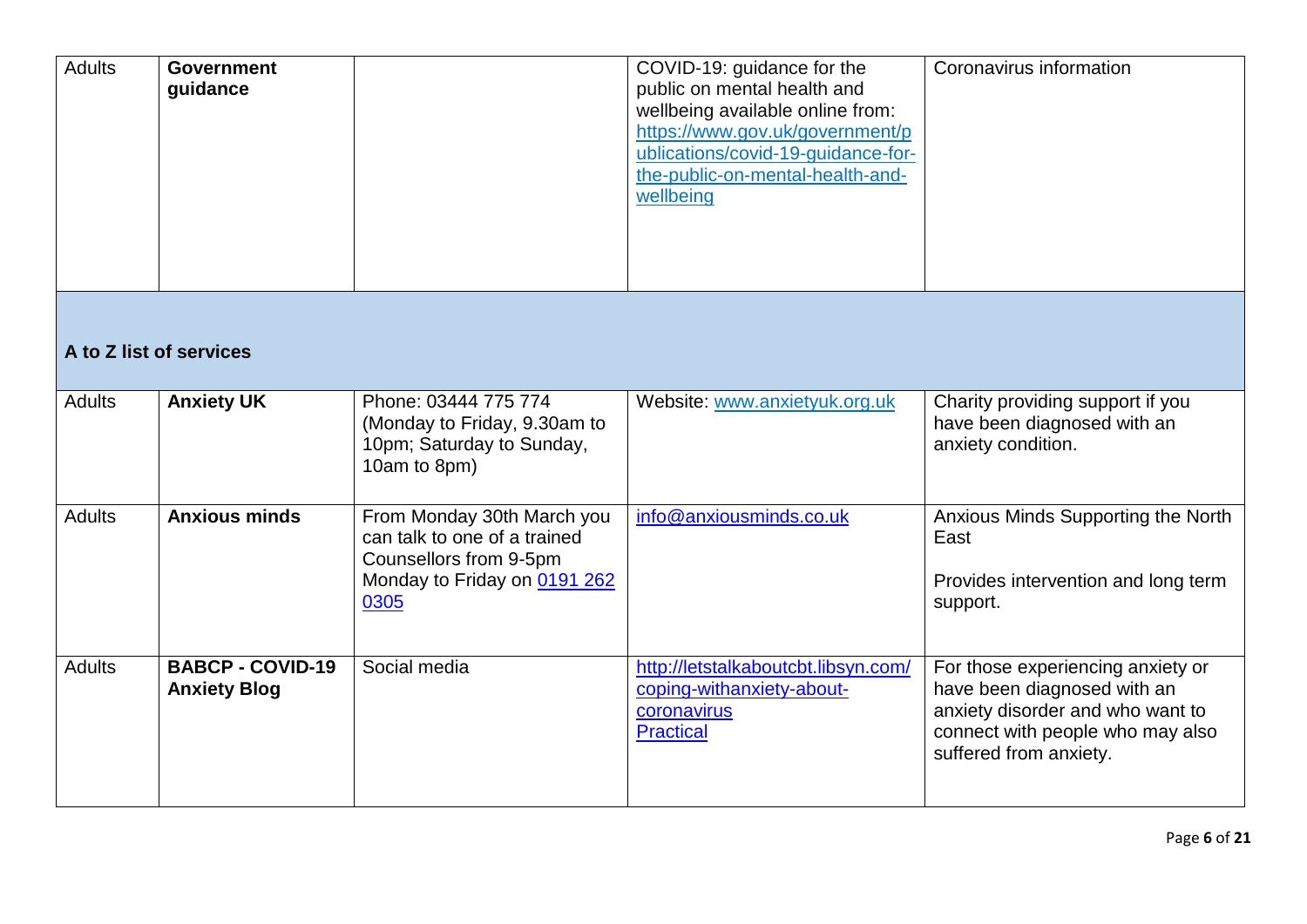| <b>Adults</b>           | <b>Government</b><br>guidance                  |                                                                                                                              | COVID-19: guidance for the<br>public on mental health and<br>wellbeing available online from:<br>https://www.gov.uk/government/p<br>ublications/covid-19-guidance-for-<br>the-public-on-mental-health-and-<br>wellbeing | Coronavirus information                                                                                                                                            |
|-------------------------|------------------------------------------------|------------------------------------------------------------------------------------------------------------------------------|-------------------------------------------------------------------------------------------------------------------------------------------------------------------------------------------------------------------------|--------------------------------------------------------------------------------------------------------------------------------------------------------------------|
| A to Z list of services |                                                |                                                                                                                              |                                                                                                                                                                                                                         |                                                                                                                                                                    |
| <b>Adults</b>           | <b>Anxiety UK</b>                              | Phone: 03444 775 774<br>(Monday to Friday, 9.30am to<br>10pm; Saturday to Sunday,<br>10am to 8pm)                            | Website: www.anxietyuk.org.uk                                                                                                                                                                                           | Charity providing support if you<br>have been diagnosed with an<br>anxiety condition.                                                                              |
| <b>Adults</b>           | <b>Anxious minds</b>                           | From Monday 30th March you<br>can talk to one of a trained<br>Counsellors from 9-5pm<br>Monday to Friday on 0191 262<br>0305 | info@anxiousminds.co.uk                                                                                                                                                                                                 | Anxious Minds Supporting the North<br>East<br>Provides intervention and long term<br>support.                                                                      |
| <b>Adults</b>           | <b>BABCP - COVID-19</b><br><b>Anxiety Blog</b> | Social media                                                                                                                 | http://letstalkaboutcbt.libsyn.com/<br>coping-withanxiety-about-<br>coronavirus<br><b>Practical</b>                                                                                                                     | For those experiencing anxiety or<br>have been diagnosed with an<br>anxiety disorder and who want to<br>connect with people who may also<br>suffered from anxiety. |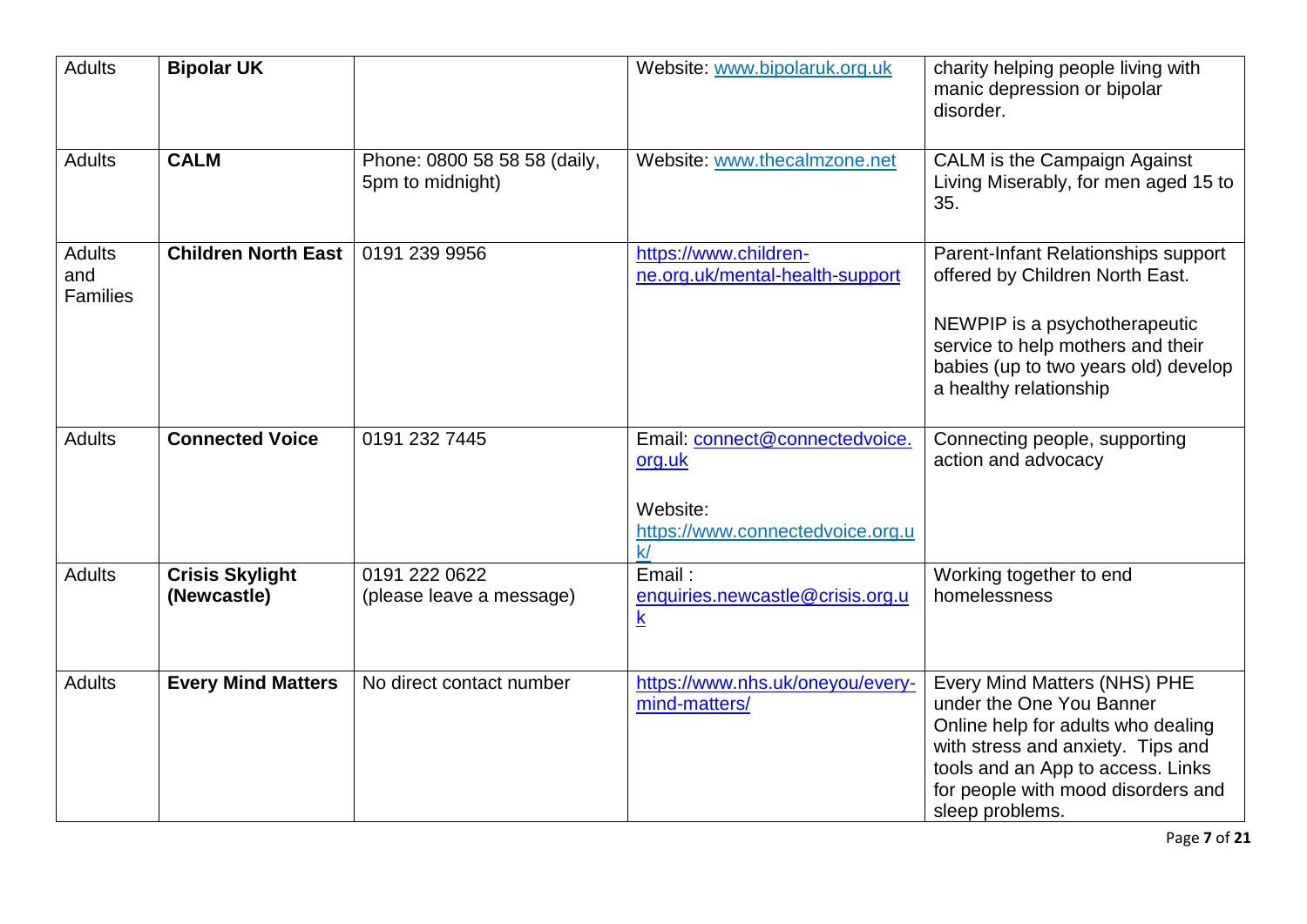| <b>Adults</b>                           | <b>Bipolar UK</b>                     |                                                  | Website: www.bipolaruk.org.uk                                                                  | charity helping people living with<br>manic depression or bipolar<br>disorder.                                                                                                                                                    |
|-----------------------------------------|---------------------------------------|--------------------------------------------------|------------------------------------------------------------------------------------------------|-----------------------------------------------------------------------------------------------------------------------------------------------------------------------------------------------------------------------------------|
| <b>Adults</b>                           | <b>CALM</b>                           | Phone: 0800 58 58 58 (daily,<br>5pm to midnight) | Website: www.thecalmzone.net                                                                   | CALM is the Campaign Against<br>Living Miserably, for men aged 15 to<br>35.                                                                                                                                                       |
| <b>Adults</b><br>and<br><b>Families</b> | <b>Children North East</b>            | 0191 239 9956                                    | https://www.children-<br>ne.org.uk/mental-health-support                                       | Parent-Infant Relationships support<br>offered by Children North East.<br>NEWPIP is a psychotherapeutic<br>service to help mothers and their<br>babies (up to two years old) develop<br>a healthy relationship                    |
| <b>Adults</b>                           | <b>Connected Voice</b>                | 0191 232 7445                                    | Email: connect@connectedvoice.<br>org.uk<br>Website:<br>https://www.connectedvoice.org.u<br>k/ | Connecting people, supporting<br>action and advocacy                                                                                                                                                                              |
| <b>Adults</b>                           | <b>Crisis Skylight</b><br>(Newcastle) | 0191 222 0622<br>(please leave a message)        | Email:<br>enquiries.newcastle@crisis.org.u<br>$\underline{\mathsf{k}}$                         | Working together to end<br>homelessness                                                                                                                                                                                           |
| <b>Adults</b>                           | <b>Every Mind Matters</b>             | No direct contact number                         | https://www.nhs.uk/oneyou/every-<br>mind-matters/                                              | Every Mind Matters (NHS) PHE<br>under the One You Banner<br>Online help for adults who dealing<br>with stress and anxiety. Tips and<br>tools and an App to access. Links<br>for people with mood disorders and<br>sleep problems. |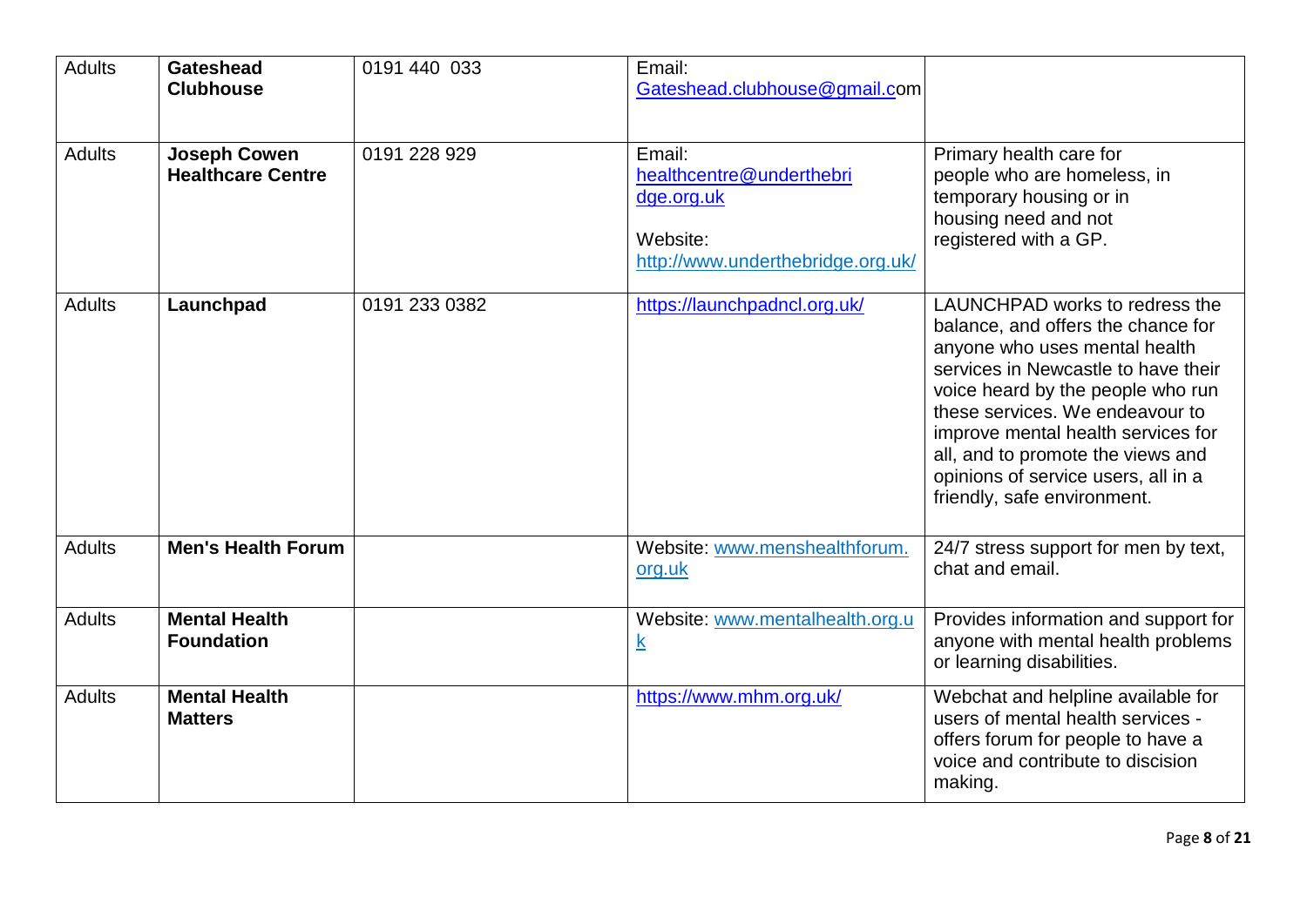| <b>Adults</b> | <b>Gateshead</b><br><b>Clubhouse</b>            | 0191 440 033  | Email:<br>Gateshead.clubhouse@gmail.com                                                           |                                                                                                                                                                                                                                                                                                                                                                       |
|---------------|-------------------------------------------------|---------------|---------------------------------------------------------------------------------------------------|-----------------------------------------------------------------------------------------------------------------------------------------------------------------------------------------------------------------------------------------------------------------------------------------------------------------------------------------------------------------------|
| <b>Adults</b> | <b>Joseph Cowen</b><br><b>Healthcare Centre</b> | 0191 228 929  | Email:<br>healthcentre@underthebri<br>dge.org.uk<br>Website:<br>http://www.underthebridge.org.uk/ | Primary health care for<br>people who are homeless, in<br>temporary housing or in<br>housing need and not<br>registered with a GP.                                                                                                                                                                                                                                    |
| <b>Adults</b> | Launchpad                                       | 0191 233 0382 | https://launchpadncl.org.uk/                                                                      | LAUNCHPAD works to redress the<br>balance, and offers the chance for<br>anyone who uses mental health<br>services in Newcastle to have their<br>voice heard by the people who run<br>these services. We endeavour to<br>improve mental health services for<br>all, and to promote the views and<br>opinions of service users, all in a<br>friendly, safe environment. |
| <b>Adults</b> | <b>Men's Health Forum</b>                       |               | Website: www.menshealthforum.<br>org.uk                                                           | 24/7 stress support for men by text,<br>chat and email.                                                                                                                                                                                                                                                                                                               |
| <b>Adults</b> | <b>Mental Health</b><br><b>Foundation</b>       |               | Website: www.mentalhealth.org.u<br>$\underline{k}$                                                | Provides information and support for<br>anyone with mental health problems<br>or learning disabilities.                                                                                                                                                                                                                                                               |
| <b>Adults</b> | <b>Mental Health</b><br><b>Matters</b>          |               | https://www.mhm.org.uk/                                                                           | Webchat and helpline available for<br>users of mental health services -<br>offers forum for people to have a<br>voice and contribute to discision<br>making.                                                                                                                                                                                                          |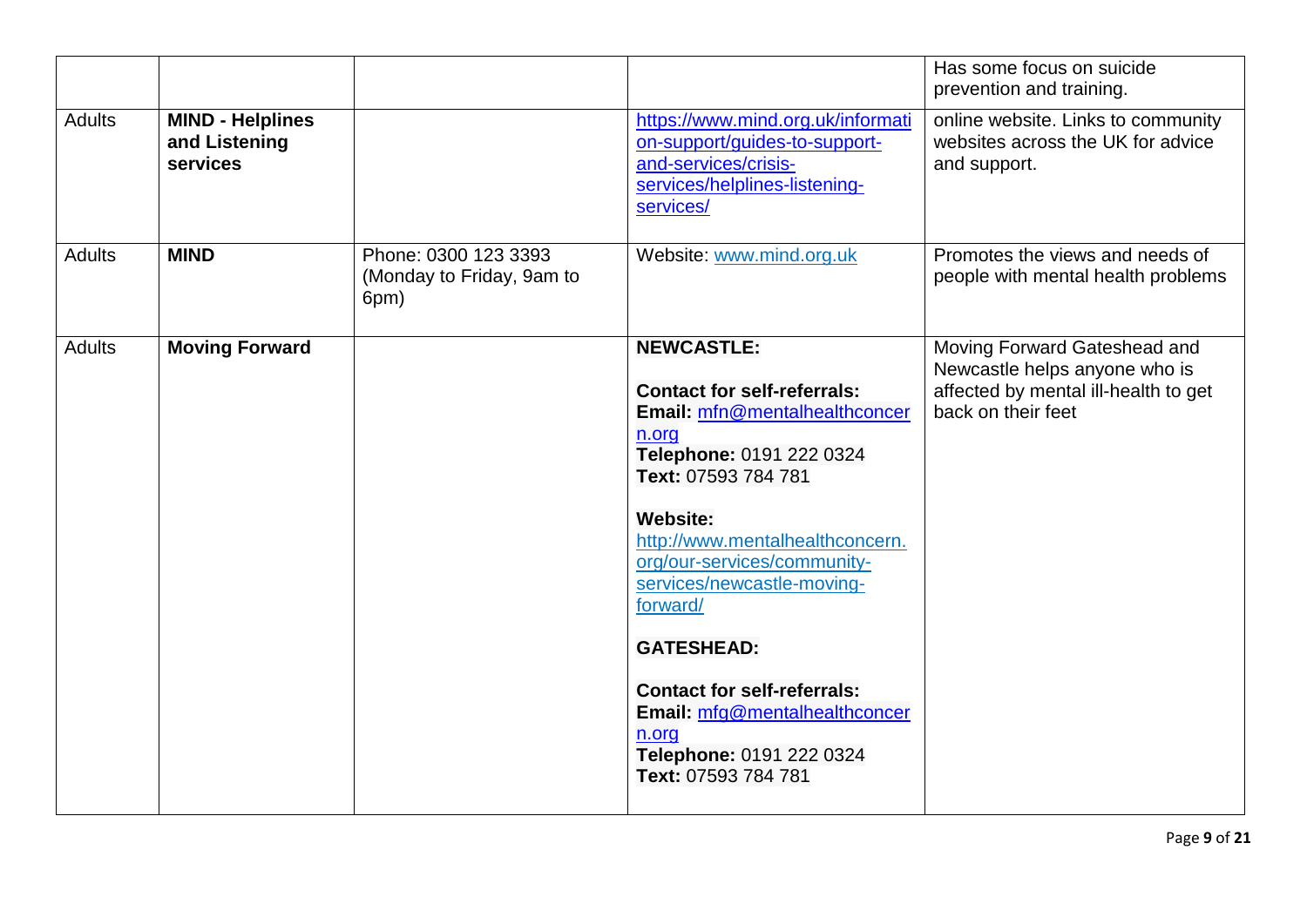|               |                                                      |                                                           |                                                                                                                                                                                                                                                                                                                                                                                                                                             | Has some focus on suicide<br>prevention and training.                                                                       |
|---------------|------------------------------------------------------|-----------------------------------------------------------|---------------------------------------------------------------------------------------------------------------------------------------------------------------------------------------------------------------------------------------------------------------------------------------------------------------------------------------------------------------------------------------------------------------------------------------------|-----------------------------------------------------------------------------------------------------------------------------|
| <b>Adults</b> | <b>MIND - Helplines</b><br>and Listening<br>services |                                                           | https://www.mind.org.uk/informati<br>on-support/guides-to-support-<br>and-services/crisis-<br>services/helplines-listening-<br>services/                                                                                                                                                                                                                                                                                                    | online website. Links to community<br>websites across the UK for advice<br>and support.                                     |
| <b>Adults</b> | <b>MIND</b>                                          | Phone: 0300 123 3393<br>(Monday to Friday, 9am to<br>6pm) | Website: www.mind.org.uk                                                                                                                                                                                                                                                                                                                                                                                                                    | Promotes the views and needs of<br>people with mental health problems                                                       |
| <b>Adults</b> | <b>Moving Forward</b>                                |                                                           | <b>NEWCASTLE:</b><br><b>Contact for self-referrals:</b><br>Email: mfn@mentalhealthconcer<br>n.org<br>Telephone: 0191 222 0324<br>Text: 07593 784 781<br><b>Website:</b><br>http://www.mentalhealthconcern.<br>org/our-services/community-<br>services/newcastle-moving-<br>forward/<br><b>GATESHEAD:</b><br><b>Contact for self-referrals:</b><br>Email: mfg@mentalhealthconcer<br>n.org<br>Telephone: 0191 222 0324<br>Text: 07593 784 781 | Moving Forward Gateshead and<br>Newcastle helps anyone who is<br>affected by mental ill-health to get<br>back on their feet |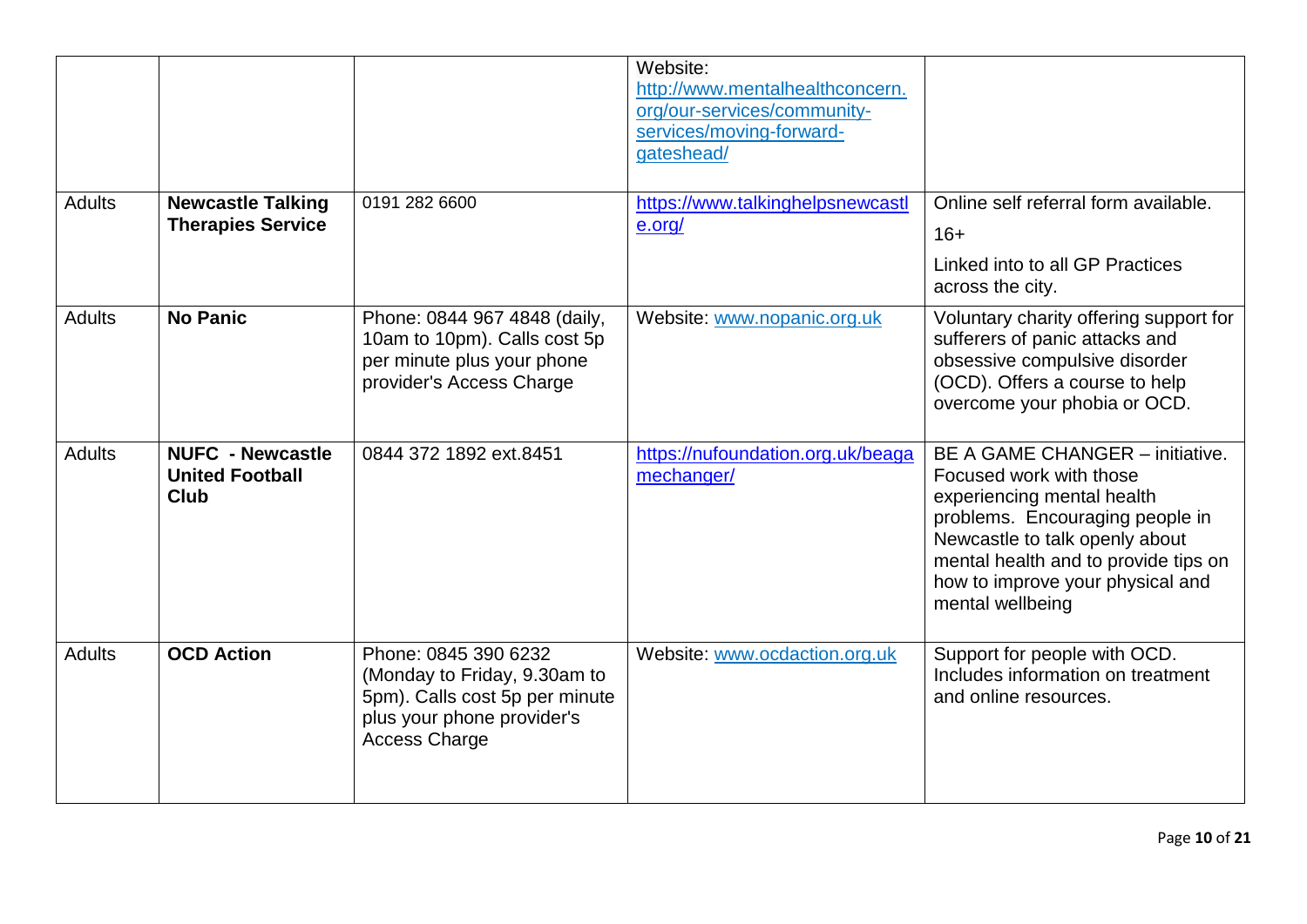|               |                                                                  |                                                                                                                                              | Website:<br>http://www.mentalhealthconcern.<br>org/our-services/community-<br>services/moving-forward-<br>gateshead/ |                                                                                                                                                                                                                                                                      |
|---------------|------------------------------------------------------------------|----------------------------------------------------------------------------------------------------------------------------------------------|----------------------------------------------------------------------------------------------------------------------|----------------------------------------------------------------------------------------------------------------------------------------------------------------------------------------------------------------------------------------------------------------------|
| <b>Adults</b> | <b>Newcastle Talking</b><br><b>Therapies Service</b>             | 0191 282 6600                                                                                                                                | https://www.talkinghelpsnewcastl<br>e.org/                                                                           | Online self referral form available.<br>$16+$<br>Linked into to all GP Practices<br>across the city.                                                                                                                                                                 |
| <b>Adults</b> | <b>No Panic</b>                                                  | Phone: 0844 967 4848 (daily,<br>10am to 10pm). Calls cost 5p<br>per minute plus your phone<br>provider's Access Charge                       | Website: www.nopanic.org.uk                                                                                          | Voluntary charity offering support for<br>sufferers of panic attacks and<br>obsessive compulsive disorder<br>(OCD). Offers a course to help<br>overcome your phobia or OCD.                                                                                          |
| <b>Adults</b> | <b>NUFC - Newcastle</b><br><b>United Football</b><br><b>Club</b> | 0844 372 1892 ext.8451                                                                                                                       | https://nufoundation.org.uk/beaga<br>mechanger/                                                                      | <b>BE A GAME CHANGER – initiative.</b><br>Focused work with those<br>experiencing mental health<br>problems. Encouraging people in<br>Newcastle to talk openly about<br>mental health and to provide tips on<br>how to improve your physical and<br>mental wellbeing |
| <b>Adults</b> | <b>OCD Action</b>                                                | Phone: 0845 390 6232<br>(Monday to Friday, 9.30am to<br>5pm). Calls cost 5p per minute<br>plus your phone provider's<br><b>Access Charge</b> | Website: www.ocdaction.org.uk                                                                                        | Support for people with OCD.<br>Includes information on treatment<br>and online resources.                                                                                                                                                                           |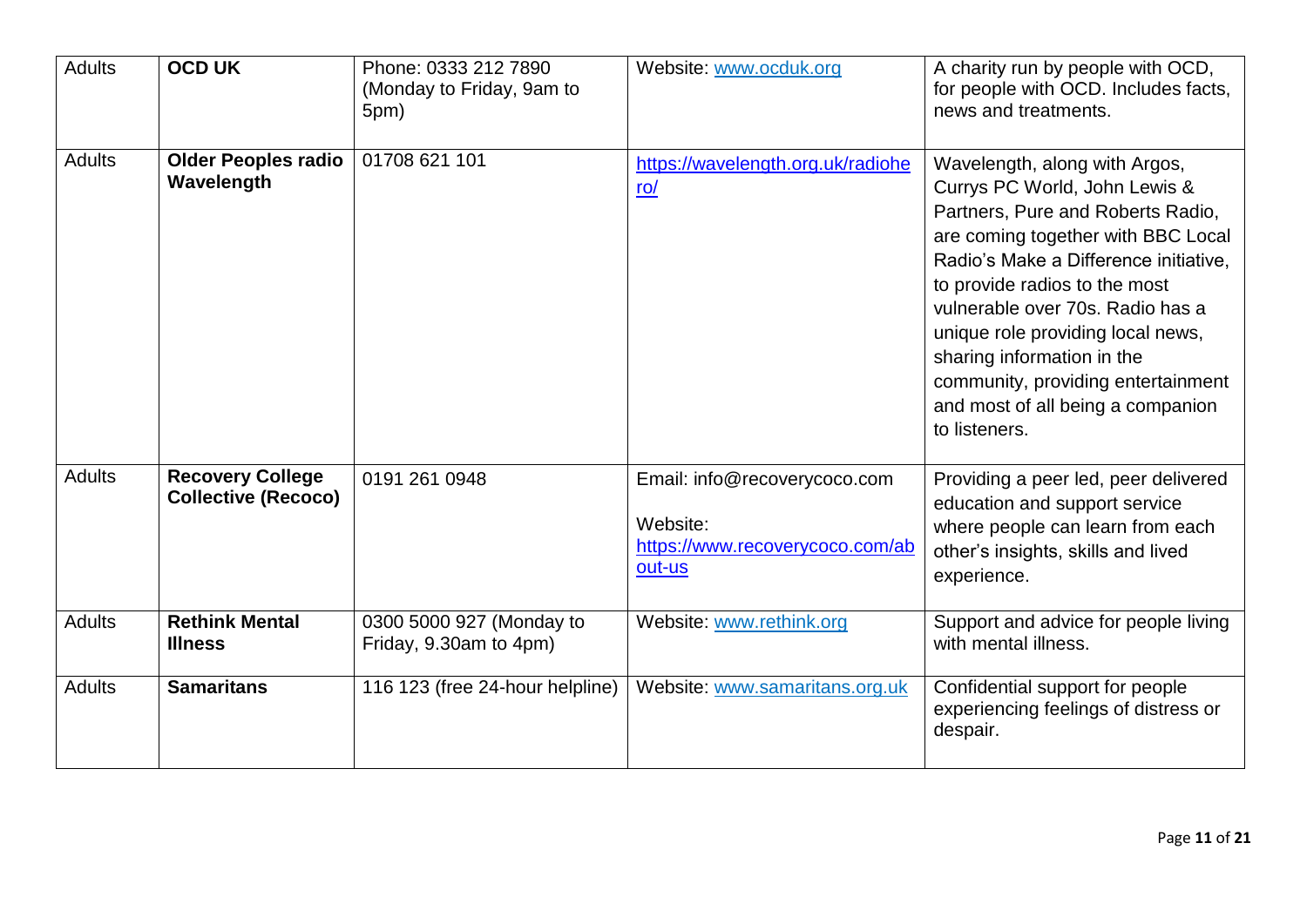| <b>Adults</b> | <b>OCD UK</b>                                         | Phone: 0333 212 7890<br>(Monday to Friday, 9am to<br>5pm) | Website: www.ocduk.org                                                                | A charity run by people with OCD,<br>for people with OCD. Includes facts,<br>news and treatments.                                                                                                                                                                                                                                                                                                                      |
|---------------|-------------------------------------------------------|-----------------------------------------------------------|---------------------------------------------------------------------------------------|------------------------------------------------------------------------------------------------------------------------------------------------------------------------------------------------------------------------------------------------------------------------------------------------------------------------------------------------------------------------------------------------------------------------|
| <b>Adults</b> | <b>Older Peoples radio</b><br>Wavelength              | 01708 621 101                                             | https://wavelength.org.uk/radiohe<br>ro/                                              | Wavelength, along with Argos,<br>Currys PC World, John Lewis &<br>Partners, Pure and Roberts Radio,<br>are coming together with BBC Local<br>Radio's Make a Difference initiative,<br>to provide radios to the most<br>vulnerable over 70s. Radio has a<br>unique role providing local news,<br>sharing information in the<br>community, providing entertainment<br>and most of all being a companion<br>to listeners. |
| <b>Adults</b> | <b>Recovery College</b><br><b>Collective (Recoco)</b> | 0191 261 0948                                             | Email: info@recoverycoco.com<br>Website:<br>https://www.recoverycoco.com/ab<br>out-us | Providing a peer led, peer delivered<br>education and support service<br>where people can learn from each<br>other's insights, skills and lived<br>experience.                                                                                                                                                                                                                                                         |
| <b>Adults</b> | <b>Rethink Mental</b><br><b>Illness</b>               | 0300 5000 927 (Monday to<br>Friday, 9.30am to 4pm)        | Website: www.rethink.org                                                              | Support and advice for people living<br>with mental illness.                                                                                                                                                                                                                                                                                                                                                           |
| <b>Adults</b> | <b>Samaritans</b>                                     | 116 123 (free 24-hour helpline)                           | Website: www.samaritans.org.uk                                                        | Confidential support for people<br>experiencing feelings of distress or<br>despair.                                                                                                                                                                                                                                                                                                                                    |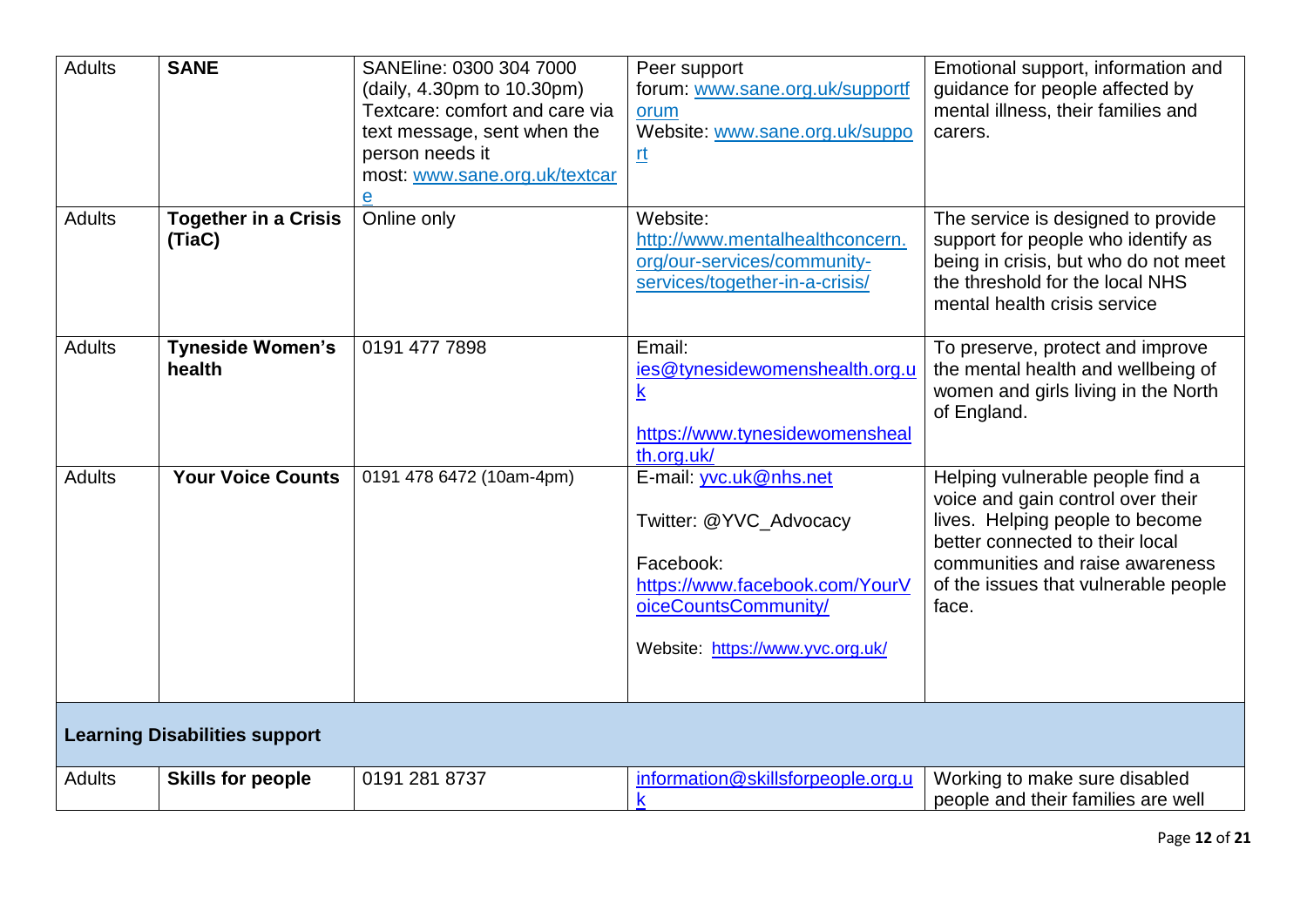| <b>Adults</b>                        | <b>SANE</b>                           | SANEline: 0300 304 7000<br>(daily, 4.30pm to 10.30pm)<br>Textcare: comfort and care via<br>text message, sent when the<br>person needs it<br>most: www.sane.org.uk/textcar<br>$\overline{\mathbf{e}}$ | Peer support<br>forum: www.sane.org.uk/supportf<br>orum<br>Website: www.sane.org.uk/suppo<br><u>n</u>                                                       | Emotional support, information and<br>guidance for people affected by<br>mental illness, their families and<br>carers.                                                                                                          |
|--------------------------------------|---------------------------------------|-------------------------------------------------------------------------------------------------------------------------------------------------------------------------------------------------------|-------------------------------------------------------------------------------------------------------------------------------------------------------------|---------------------------------------------------------------------------------------------------------------------------------------------------------------------------------------------------------------------------------|
| <b>Adults</b>                        | <b>Together in a Crisis</b><br>(TiaC) | Online only                                                                                                                                                                                           | Website:<br>http://www.mentalhealthconcern.<br>org/our-services/community-<br>services/together-in-a-crisis/                                                | The service is designed to provide<br>support for people who identify as<br>being in crisis, but who do not meet<br>the threshold for the local NHS<br>mental health crisis service                                             |
| <b>Adults</b>                        | <b>Tyneside Women's</b><br>health     | 0191 477 7898                                                                                                                                                                                         | Email:<br>ies@tynesidewomenshealth.org.u<br>$\underline{\mathsf{k}}$<br>https://www.tynesidewomensheal<br>th.org.uk/                                        | To preserve, protect and improve<br>the mental health and wellbeing of<br>women and girls living in the North<br>of England.                                                                                                    |
| <b>Adults</b>                        | <b>Your Voice Counts</b>              | 0191 478 6472 (10am-4pm)                                                                                                                                                                              | E-mail: yvc.uk@nhs.net<br>Twitter: @YVC_Advocacy<br>Facebook:<br>https://www.facebook.com/YourV<br>oiceCountsCommunity/<br>Website: https://www.yvc.org.uk/ | Helping vulnerable people find a<br>voice and gain control over their<br>lives. Helping people to become<br>better connected to their local<br>communities and raise awareness<br>of the issues that vulnerable people<br>face. |
| <b>Learning Disabilities support</b> |                                       |                                                                                                                                                                                                       |                                                                                                                                                             |                                                                                                                                                                                                                                 |
| <b>Adults</b>                        | <b>Skills for people</b>              | 0191 281 8737                                                                                                                                                                                         | information@skillsforpeople.org.u<br>$\mathsf k$                                                                                                            | Working to make sure disabled<br>people and their families are well                                                                                                                                                             |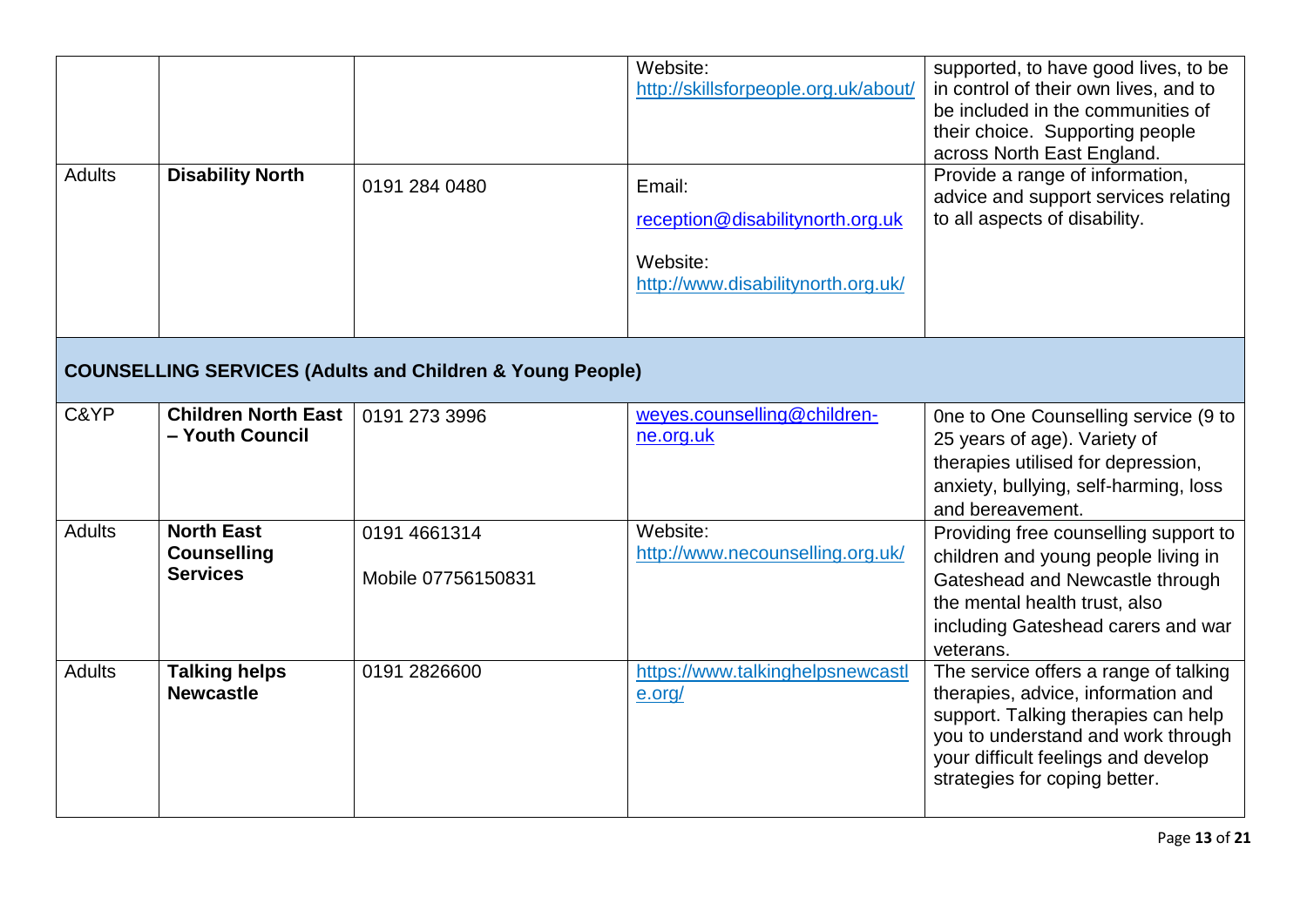| <b>Adults</b> | <b>Disability North</b>                                    | 0191 284 0480                                                        | Website:<br>http://skillsforpeople.org.uk/about/<br>Email:<br>reception@disabilitynorth.org.uk<br>Website:<br>http://www.disabilitynorth.org.uk/ | supported, to have good lives, to be<br>in control of their own lives, and to<br>be included in the communities of<br>their choice. Supporting people<br>across North East England.<br>Provide a range of information,<br>advice and support services relating<br>to all aspects of disability. |
|---------------|------------------------------------------------------------|----------------------------------------------------------------------|--------------------------------------------------------------------------------------------------------------------------------------------------|-------------------------------------------------------------------------------------------------------------------------------------------------------------------------------------------------------------------------------------------------------------------------------------------------|
|               |                                                            | <b>COUNSELLING SERVICES (Adults and Children &amp; Young People)</b> |                                                                                                                                                  |                                                                                                                                                                                                                                                                                                 |
| C&YP          | <b>Children North East</b><br>- Youth Council              | 0191 273 3996                                                        | weyes.counselling@children-<br>ne.org.uk                                                                                                         | One to One Counselling service (9 to<br>25 years of age). Variety of<br>therapies utilised for depression,<br>anxiety, bullying, self-harming, loss<br>and bereavement.                                                                                                                         |
| <b>Adults</b> | <b>North East</b><br><b>Counselling</b><br><b>Services</b> | 0191 4661314<br>Mobile 07756150831                                   | Website:<br>http://www.necounselling.org.uk/                                                                                                     | Providing free counselling support to<br>children and young people living in<br>Gateshead and Newcastle through<br>the mental health trust, also<br>including Gateshead carers and war<br>veterans.                                                                                             |
| <b>Adults</b> | <b>Talking helps</b><br><b>Newcastle</b>                   | 0191 2826600                                                         | https://www.talkinghelpsnewcastl<br>e.org/                                                                                                       | The service offers a range of talking<br>therapies, advice, information and<br>support. Talking therapies can help<br>you to understand and work through<br>your difficult feelings and develop<br>strategies for coping better.                                                                |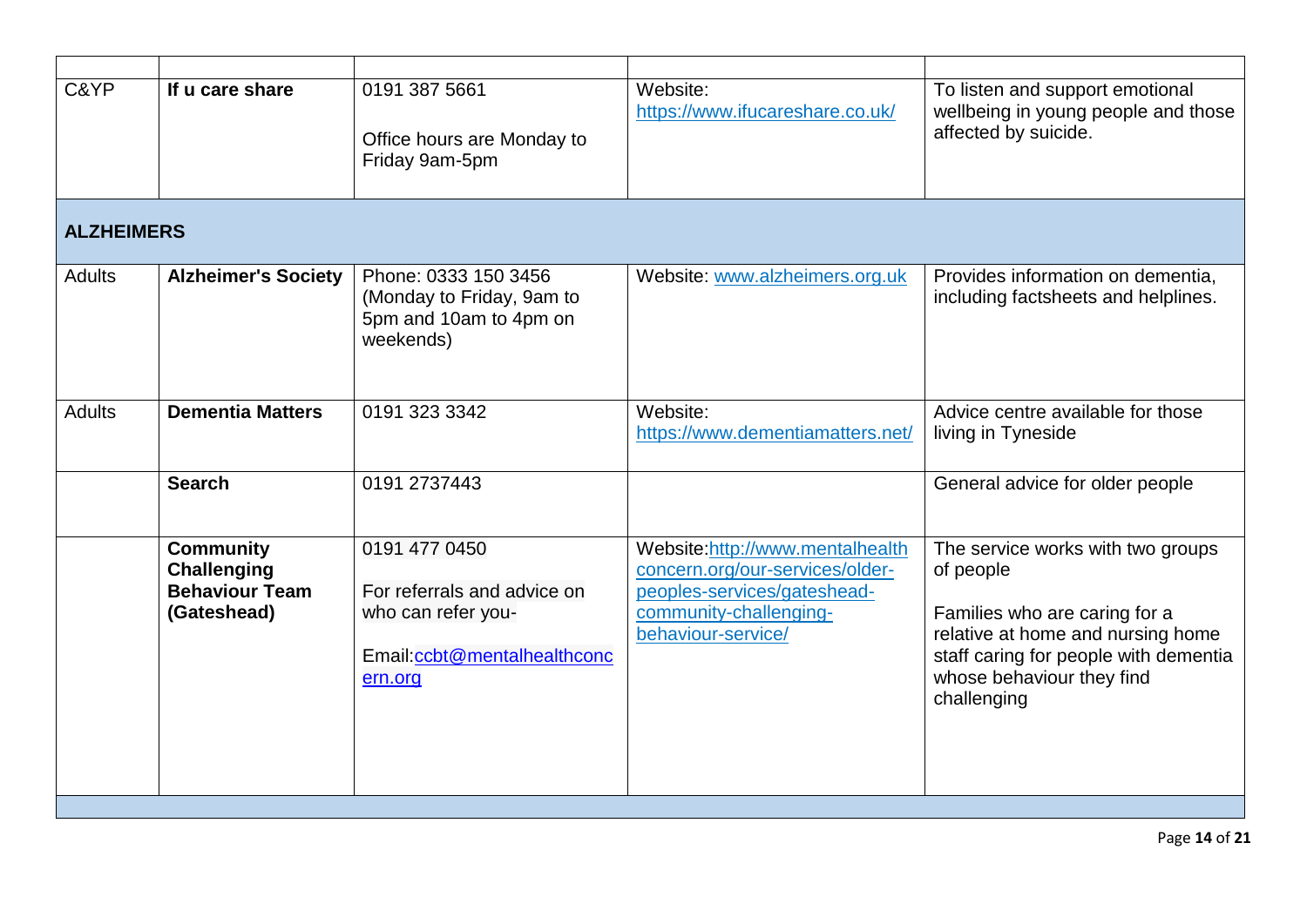| C&YP              | If u care share                                                                | 0191 387 5661<br>Office hours are Monday to<br>Friday 9am-5pm                                                | Website:<br>https://www.ifucareshare.co.uk/                                                                                                       | To listen and support emotional<br>wellbeing in young people and those<br>affected by suicide.                                                                                                            |
|-------------------|--------------------------------------------------------------------------------|--------------------------------------------------------------------------------------------------------------|---------------------------------------------------------------------------------------------------------------------------------------------------|-----------------------------------------------------------------------------------------------------------------------------------------------------------------------------------------------------------|
| <b>ALZHEIMERS</b> |                                                                                |                                                                                                              |                                                                                                                                                   |                                                                                                                                                                                                           |
| <b>Adults</b>     | <b>Alzheimer's Society</b>                                                     | Phone: 0333 150 3456<br>(Monday to Friday, 9am to<br>5pm and 10am to 4pm on<br>weekends)                     | Website: www.alzheimers.org.uk                                                                                                                    | Provides information on dementia,<br>including factsheets and helplines.                                                                                                                                  |
| <b>Adults</b>     | <b>Dementia Matters</b>                                                        | 0191 323 3342                                                                                                | Website:<br>https://www.dementiamatters.net/                                                                                                      | Advice centre available for those<br>living in Tyneside                                                                                                                                                   |
|                   | <b>Search</b>                                                                  | 0191 2737443                                                                                                 |                                                                                                                                                   | General advice for older people                                                                                                                                                                           |
|                   | <b>Community</b><br><b>Challenging</b><br><b>Behaviour Team</b><br>(Gateshead) | 0191 477 0450<br>For referrals and advice on<br>who can refer you-<br>Email:ccbt@mentalhealthconc<br>ern.org | Website:http://www.mentalhealth<br>concern.org/our-services/older-<br>peoples-services/gateshead-<br>community-challenging-<br>behaviour-service/ | The service works with two groups<br>of people<br>Families who are caring for a<br>relative at home and nursing home<br>staff caring for people with dementia<br>whose behaviour they find<br>challenging |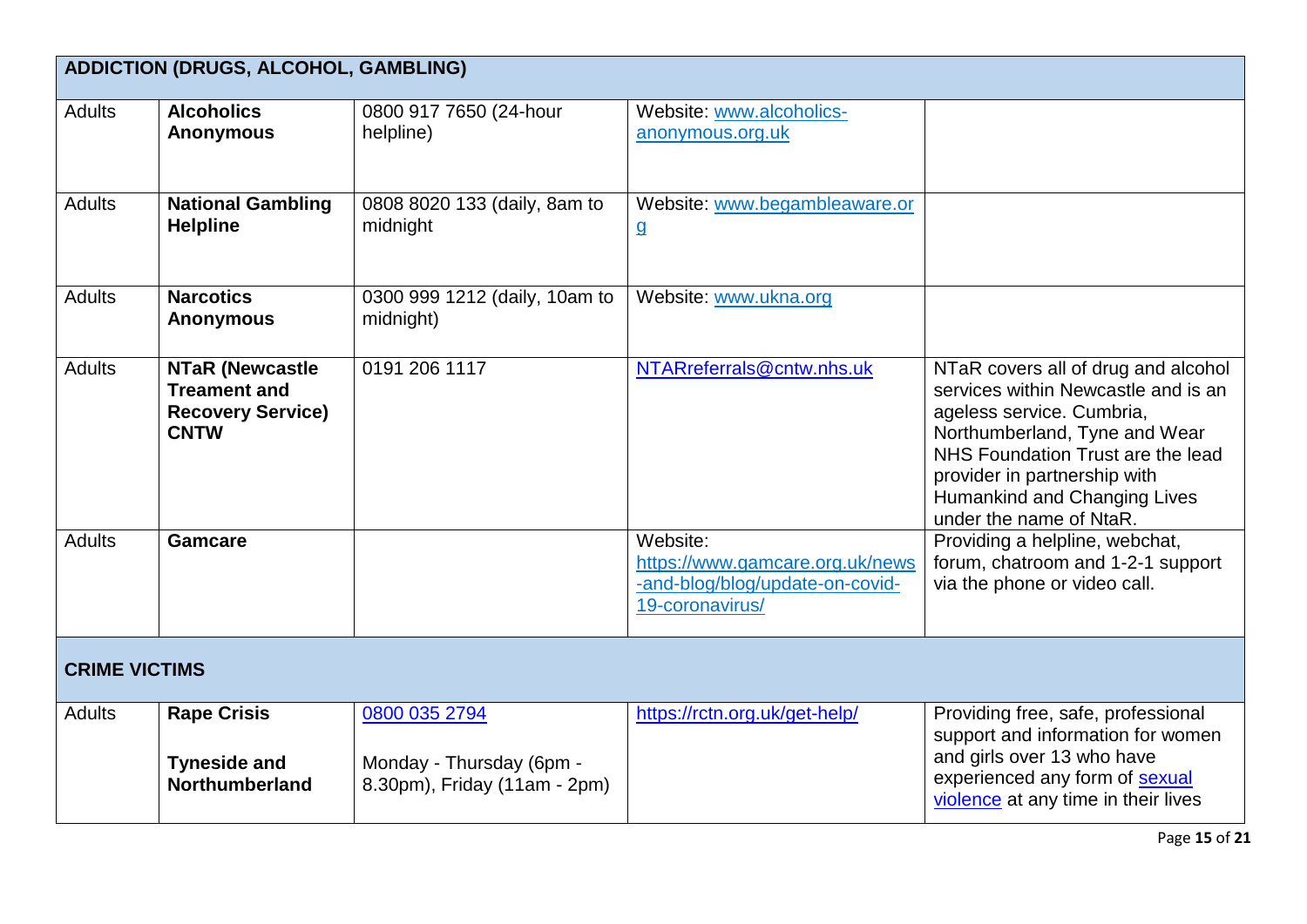|                      | <b>ADDICTION (DRUGS, ALCOHOL, GAMBLING)</b>                                              |                                                                           |                                                                                                   |                                                                                                                                                                                                                                                                          |  |
|----------------------|------------------------------------------------------------------------------------------|---------------------------------------------------------------------------|---------------------------------------------------------------------------------------------------|--------------------------------------------------------------------------------------------------------------------------------------------------------------------------------------------------------------------------------------------------------------------------|--|
| <b>Adults</b>        | <b>Alcoholics</b><br><b>Anonymous</b>                                                    | 0800 917 7650 (24-hour<br>helpline)                                       | Website: www.alcoholics-<br>anonymous.org.uk                                                      |                                                                                                                                                                                                                                                                          |  |
| <b>Adults</b>        | <b>National Gambling</b><br><b>Helpline</b>                                              | 0808 8020 133 (daily, 8am to<br>midnight                                  | Website: www.begambleaware.or<br>$\overline{a}$                                                   |                                                                                                                                                                                                                                                                          |  |
| <b>Adults</b>        | <b>Narcotics</b><br><b>Anonymous</b>                                                     | 0300 999 1212 (daily, 10am to<br>midnight)                                | Website: www.ukna.org                                                                             |                                                                                                                                                                                                                                                                          |  |
| <b>Adults</b>        | <b>NTaR (Newcastle</b><br><b>Treament and</b><br><b>Recovery Service)</b><br><b>CNTW</b> | 0191 206 1117                                                             | NTARreferrals@cntw.nhs.uk                                                                         | NTaR covers all of drug and alcohol<br>services within Newcastle and is an<br>ageless service. Cumbria,<br>Northumberland, Tyne and Wear<br>NHS Foundation Trust are the lead<br>provider in partnership with<br>Humankind and Changing Lives<br>under the name of NtaR. |  |
| <b>Adults</b>        | <b>Gamcare</b>                                                                           |                                                                           | Website:<br>https://www.gamcare.org.uk/news<br>-and-blog/blog/update-on-covid-<br>19-coronavirus/ | Providing a helpline, webchat,<br>forum, chatroom and 1-2-1 support<br>via the phone or video call.                                                                                                                                                                      |  |
| <b>CRIME VICTIMS</b> |                                                                                          |                                                                           |                                                                                                   |                                                                                                                                                                                                                                                                          |  |
| <b>Adults</b>        | <b>Rape Crisis</b><br><b>Tyneside and</b><br><b>Northumberland</b>                       | 0800 035 2794<br>Monday - Thursday (6pm -<br>8.30pm), Friday (11am - 2pm) | https://rctn.org.uk/get-help/                                                                     | Providing free, safe, professional<br>support and information for women<br>and girls over 13 who have<br>experienced any form of sexual<br>violence at any time in their lives                                                                                           |  |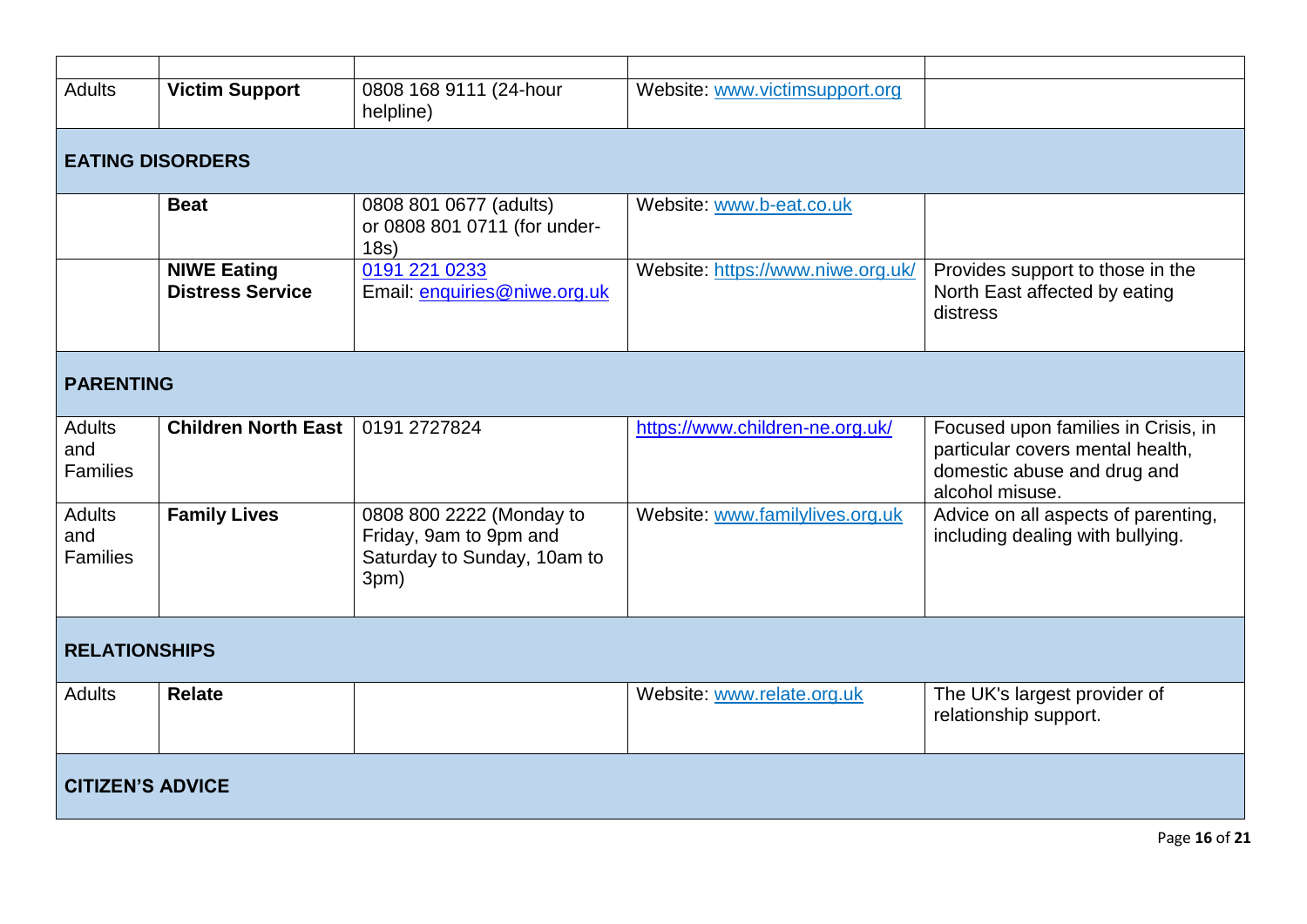| <b>Adults</b>                           | <b>Victim Support</b>                         | 0808 168 9111 (24-hour<br>helpline)                                                       | Website: www.victimsupport.org    |                                                                                                                           |
|-----------------------------------------|-----------------------------------------------|-------------------------------------------------------------------------------------------|-----------------------------------|---------------------------------------------------------------------------------------------------------------------------|
| <b>EATING DISORDERS</b>                 |                                               |                                                                                           |                                   |                                                                                                                           |
|                                         | <b>Beat</b>                                   | 0808 801 0677 (adults)<br>or 0808 801 0711 (for under-<br>18s)                            | Website: www.b-eat.co.uk          |                                                                                                                           |
|                                         | <b>NIWE Eating</b><br><b>Distress Service</b> | 0191 221 0233<br>Email: enquiries@niwe.org.uk                                             | Website: https://www.niwe.org.uk/ | Provides support to those in the<br>North East affected by eating<br>distress                                             |
| <b>PARENTING</b>                        |                                               |                                                                                           |                                   |                                                                                                                           |
| <b>Adults</b><br>and<br><b>Families</b> | <b>Children North East</b>                    | 0191 2727824                                                                              | https://www.children-ne.org.uk/   | Focused upon families in Crisis, in<br>particular covers mental health,<br>domestic abuse and drug and<br>alcohol misuse. |
| <b>Adults</b><br>and<br><b>Families</b> | <b>Family Lives</b>                           | 0808 800 2222 (Monday to<br>Friday, 9am to 9pm and<br>Saturday to Sunday, 10am to<br>3pm) | Website: www.familylives.org.uk   | Advice on all aspects of parenting,<br>including dealing with bullying.                                                   |
| <b>RELATIONSHIPS</b>                    |                                               |                                                                                           |                                   |                                                                                                                           |
| <b>Adults</b>                           | <b>Relate</b>                                 |                                                                                           | Website: www.relate.org.uk        | The UK's largest provider of<br>relationship support.                                                                     |
| <b>CITIZEN'S ADVICE</b>                 |                                               |                                                                                           |                                   |                                                                                                                           |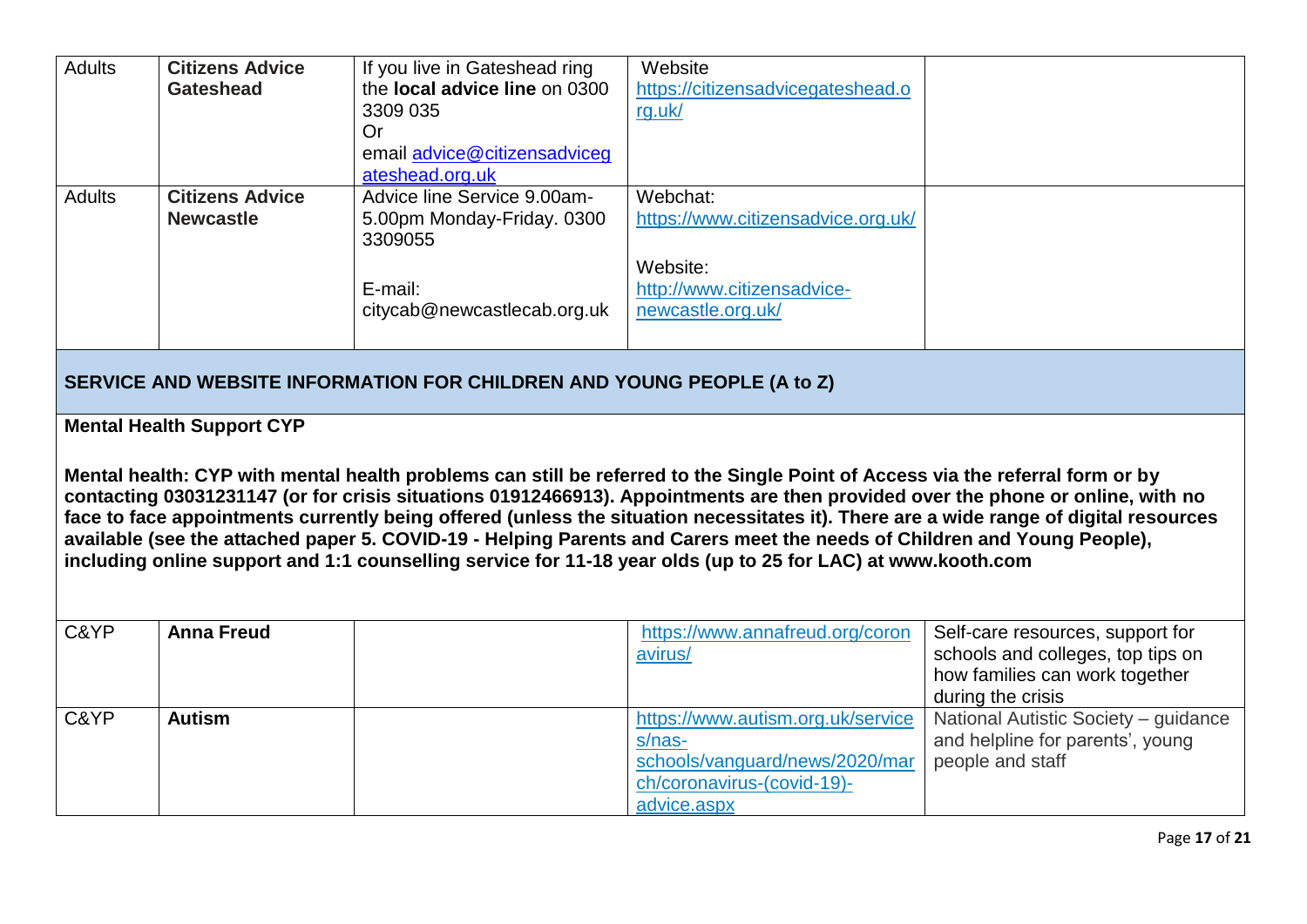| <b>Adults</b> | <b>Citizens Advice</b><br><b>Gateshead</b>                                                                                                                                                                                                                                                                                                                                                                                                                                                                                                                                                                                                                                                 | If you live in Gateshead ring<br>the <b>local advice line</b> on 0300<br>3309 035<br><b>Or</b><br>email advice@citizensadviceg<br>ateshead.org.uk | Website<br>https://citizensadvicegateshead.o<br>rg.uk/                                                                     |                                                                                                                              |  |  |  |
|---------------|--------------------------------------------------------------------------------------------------------------------------------------------------------------------------------------------------------------------------------------------------------------------------------------------------------------------------------------------------------------------------------------------------------------------------------------------------------------------------------------------------------------------------------------------------------------------------------------------------------------------------------------------------------------------------------------------|---------------------------------------------------------------------------------------------------------------------------------------------------|----------------------------------------------------------------------------------------------------------------------------|------------------------------------------------------------------------------------------------------------------------------|--|--|--|
| <b>Adults</b> | <b>Citizens Advice</b><br><b>Newcastle</b>                                                                                                                                                                                                                                                                                                                                                                                                                                                                                                                                                                                                                                                 | Advice line Service 9.00am-<br>5.00pm Monday-Friday. 0300<br>3309055                                                                              | Webchat:<br>https://www.citizensadvice.org.uk/                                                                             |                                                                                                                              |  |  |  |
|               |                                                                                                                                                                                                                                                                                                                                                                                                                                                                                                                                                                                                                                                                                            | E-mail:<br>citycab@newcastlecab.org.uk                                                                                                            | Website:<br>http://www.citizensadvice-<br>newcastle.org.uk/                                                                |                                                                                                                              |  |  |  |
|               | SERVICE AND WEBSITE INFORMATION FOR CHILDREN AND YOUNG PEOPLE (A to Z)                                                                                                                                                                                                                                                                                                                                                                                                                                                                                                                                                                                                                     |                                                                                                                                                   |                                                                                                                            |                                                                                                                              |  |  |  |
|               | <b>Mental Health Support CYP</b><br>Mental health: CYP with mental health problems can still be referred to the Single Point of Access via the referral form or by<br>contacting 03031231147 (or for crisis situations 01912466913). Appointments are then provided over the phone or online, with no<br>face to face appointments currently being offered (unless the situation necessitates it). There are a wide range of digital resources<br>available (see the attached paper 5. COVID-19 - Helping Parents and Carers meet the needs of Children and Young People),<br>including online support and 1:1 counselling service for 11-18 year olds (up to 25 for LAC) at www.kooth.com |                                                                                                                                                   |                                                                                                                            |                                                                                                                              |  |  |  |
| C&YP          | <b>Anna Freud</b>                                                                                                                                                                                                                                                                                                                                                                                                                                                                                                                                                                                                                                                                          |                                                                                                                                                   | https://www.annafreud.org/coron<br>avirus/                                                                                 | Self-care resources, support for<br>schools and colleges, top tips on<br>how families can work together<br>during the crisis |  |  |  |
| C&YP          | <b>Autism</b>                                                                                                                                                                                                                                                                                                                                                                                                                                                                                                                                                                                                                                                                              |                                                                                                                                                   | https://www.autism.org.uk/service<br>s/nas-<br>schools/vanguard/news/2020/mar<br>ch/coronavirus-(covid-19)-<br>advice.aspx | National Autistic Society - guidance<br>and helpline for parents', young<br>people and staff                                 |  |  |  |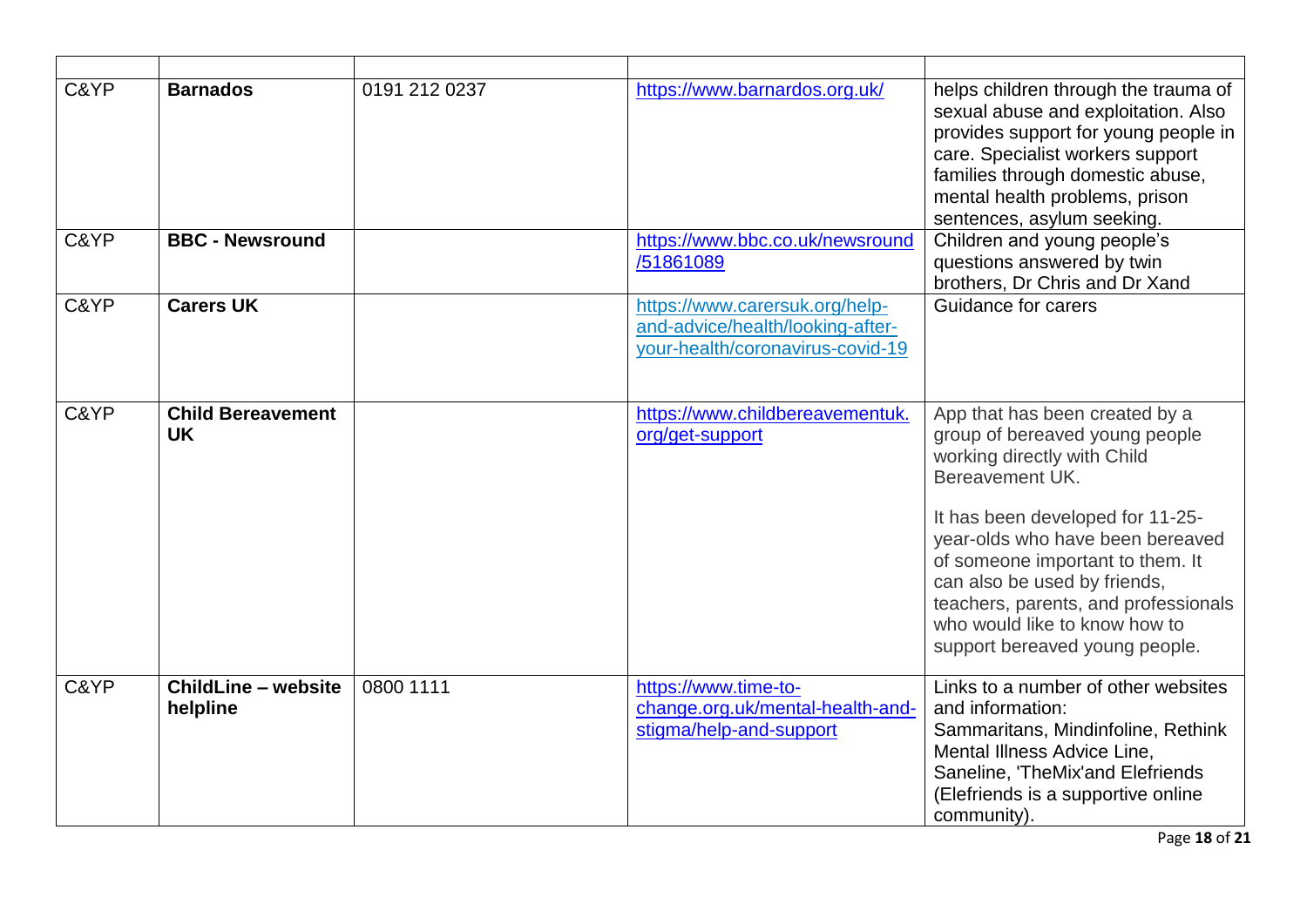| C&YP<br>C&YP | <b>Barnados</b><br><b>BBC - Newsround</b> | 0191 212 0237 | https://www.barnardos.org.uk/<br>https://www.bbc.co.uk/newsround                                       | helps children through the trauma of<br>sexual abuse and exploitation. Also<br>provides support for young people in<br>care. Specialist workers support<br>families through domestic abuse,<br>mental health problems, prison<br>sentences, asylum seeking.<br>Children and young people's                                                                                |
|--------------|-------------------------------------------|---------------|--------------------------------------------------------------------------------------------------------|---------------------------------------------------------------------------------------------------------------------------------------------------------------------------------------------------------------------------------------------------------------------------------------------------------------------------------------------------------------------------|
|              |                                           |               | /51861089                                                                                              | questions answered by twin<br>brothers, Dr Chris and Dr Xand                                                                                                                                                                                                                                                                                                              |
| C&YP         | <b>Carers UK</b>                          |               | https://www.carersuk.org/help-<br>and-advice/health/looking-after-<br>your-health/coronavirus-covid-19 | Guidance for carers                                                                                                                                                                                                                                                                                                                                                       |
| C&YP         | <b>Child Bereavement</b><br><b>UK</b>     |               | https://www.childbereavementuk.<br>org/get-support                                                     | App that has been created by a<br>group of bereaved young people<br>working directly with Child<br>Bereavement UK.<br>It has been developed for 11-25-<br>year-olds who have been bereaved<br>of someone important to them. It<br>can also be used by friends,<br>teachers, parents, and professionals<br>who would like to know how to<br>support bereaved young people. |
| C&YP         | <b>ChildLine - website</b><br>helpline    | 0800 1111     | https://www.time-to-<br>change.org.uk/mental-health-and-<br>stigma/help-and-support                    | Links to a number of other websites<br>and information:<br>Sammaritans, Mindinfoline, Rethink<br>Mental Illness Advice Line,<br>Saneline, 'TheMix'and Elefriends<br>(Elefriends is a supportive online<br>community).                                                                                                                                                     |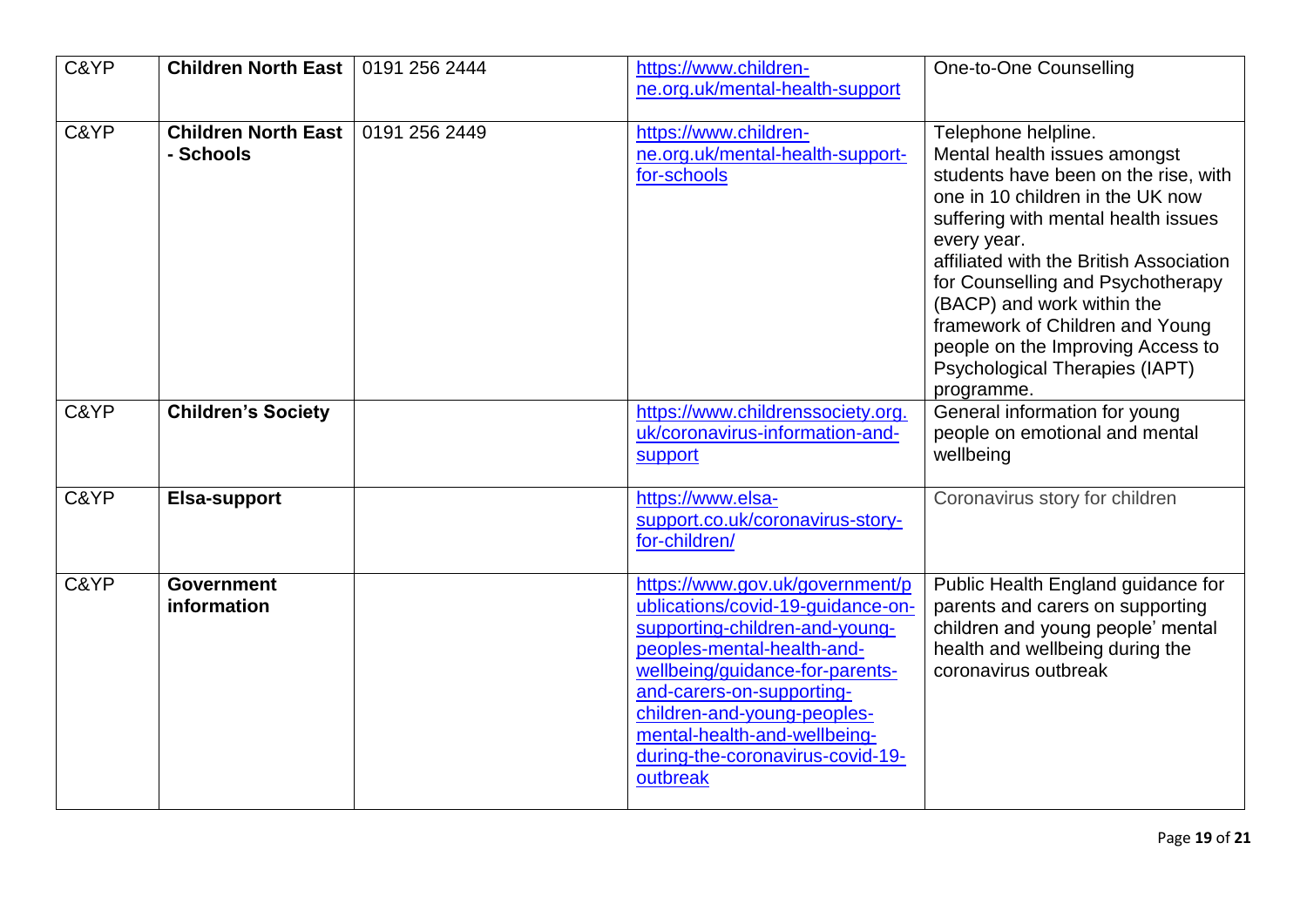| C&YP | <b>Children North East</b>              | 0191 256 2444 | https://www.children-<br>ne.org.uk/mental-health-support                                                                                                                                                                                                                                                            | One-to-One Counselling                                                                                                                                                                                                                                                                                                                                                                                                      |
|------|-----------------------------------------|---------------|---------------------------------------------------------------------------------------------------------------------------------------------------------------------------------------------------------------------------------------------------------------------------------------------------------------------|-----------------------------------------------------------------------------------------------------------------------------------------------------------------------------------------------------------------------------------------------------------------------------------------------------------------------------------------------------------------------------------------------------------------------------|
| C&YP | <b>Children North East</b><br>- Schools | 0191 256 2449 | https://www.children-<br>ne.org.uk/mental-health-support-<br>for-schools                                                                                                                                                                                                                                            | Telephone helpline.<br>Mental health issues amongst<br>students have been on the rise, with<br>one in 10 children in the UK now<br>suffering with mental health issues<br>every year.<br>affiliated with the British Association<br>for Counselling and Psychotherapy<br>(BACP) and work within the<br>framework of Children and Young<br>people on the Improving Access to<br>Psychological Therapies (IAPT)<br>programme. |
| C&YP | <b>Children's Society</b>               |               | https://www.childrenssociety.org.<br>uk/coronavirus-information-and-<br>support                                                                                                                                                                                                                                     | General information for young<br>people on emotional and mental<br>wellbeing                                                                                                                                                                                                                                                                                                                                                |
| C&YP | Elsa-support                            |               | https://www.elsa-<br>support.co.uk/coronavirus-story-<br>for-children/                                                                                                                                                                                                                                              | Coronavirus story for children                                                                                                                                                                                                                                                                                                                                                                                              |
| C&YP | <b>Government</b><br>information        |               | https://www.gov.uk/government/p<br>ublications/covid-19-quidance-on-<br>supporting-children-and-young-<br>peoples-mental-health-and-<br>wellbeing/guidance-for-parents-<br>and-carers-on-supporting-<br>children-and-young-peoples-<br>mental-health-and-wellbeing-<br>during-the-coronavirus-covid-19-<br>outbreak | Public Health England guidance for<br>parents and carers on supporting<br>children and young people' mental<br>health and wellbeing during the<br>coronavirus outbreak                                                                                                                                                                                                                                                      |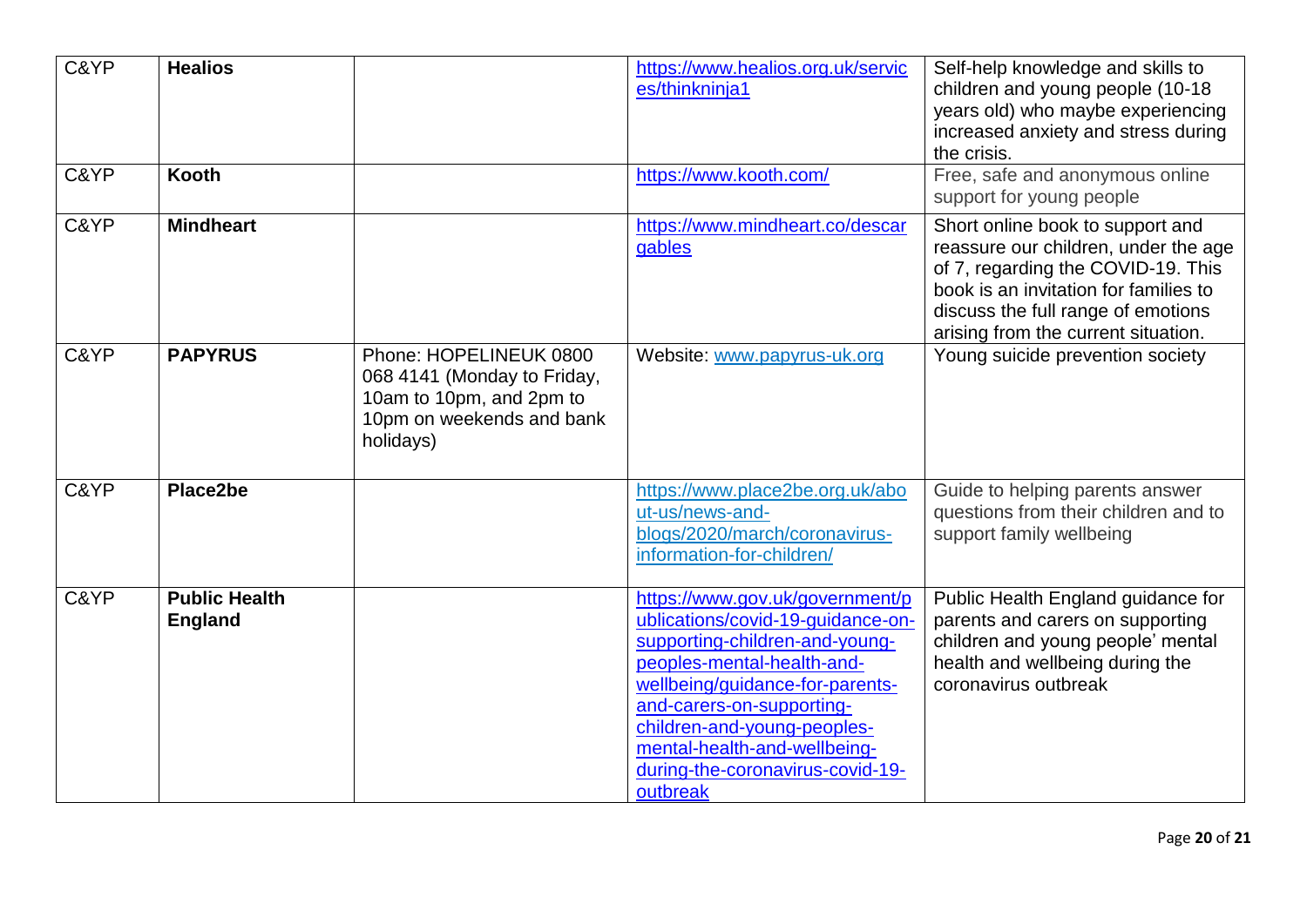| C&YP<br>C&YP | <b>Healios</b><br>Kooth                |                                                                                                                             | https://www.healios.org.uk/servic<br>es/thinkninja1<br>https://www.kooth.com/                                                                                                                                                                                                                                       | Self-help knowledge and skills to<br>children and young people (10-18<br>years old) who maybe experiencing<br>increased anxiety and stress during<br>the crisis.<br>Free, safe and anonymous online<br>support for young people      |
|--------------|----------------------------------------|-----------------------------------------------------------------------------------------------------------------------------|---------------------------------------------------------------------------------------------------------------------------------------------------------------------------------------------------------------------------------------------------------------------------------------------------------------------|--------------------------------------------------------------------------------------------------------------------------------------------------------------------------------------------------------------------------------------|
| C&YP         | <b>Mindheart</b>                       |                                                                                                                             | https://www.mindheart.co/descar<br>gables                                                                                                                                                                                                                                                                           | Short online book to support and<br>reassure our children, under the age<br>of 7, regarding the COVID-19. This<br>book is an invitation for families to<br>discuss the full range of emotions<br>arising from the current situation. |
| C&YP         | <b>PAPYRUS</b>                         | Phone: HOPELINEUK 0800<br>068 4141 (Monday to Friday,<br>10am to 10pm, and 2pm to<br>10pm on weekends and bank<br>holidays) | Website: www.papyrus-uk.org                                                                                                                                                                                                                                                                                         | Young suicide prevention society                                                                                                                                                                                                     |
| C&YP         | Place2be                               |                                                                                                                             | https://www.place2be.org.uk/abo<br>ut-us/news-and-<br>blogs/2020/march/coronavirus-<br>information-for-children/                                                                                                                                                                                                    | Guide to helping parents answer<br>questions from their children and to<br>support family wellbeing                                                                                                                                  |
| C&YP         | <b>Public Health</b><br><b>England</b> |                                                                                                                             | https://www.gov.uk/government/p<br>ublications/covid-19-quidance-on-<br>supporting-children-and-young-<br>peoples-mental-health-and-<br>wellbeing/guidance-for-parents-<br>and-carers-on-supporting-<br>children-and-young-peoples-<br>mental-health-and-wellbeing-<br>during-the-coronavirus-covid-19-<br>outbreak | Public Health England guidance for<br>parents and carers on supporting<br>children and young people' mental<br>health and wellbeing during the<br>coronavirus outbreak                                                               |